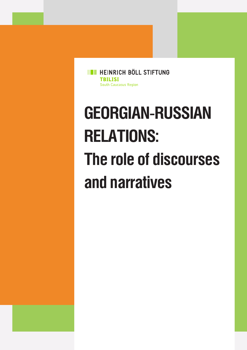**ET HEINRICH BÖLL STIFTUNG TBILISI** South Caucasus Region

# **GEORGIAN-RUSSIAN RELATIONS: The role of discourses and narratives**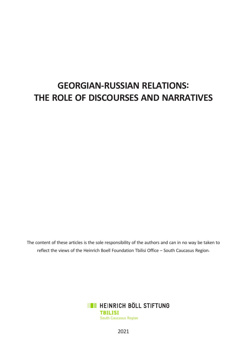# **GEORGIAN-RUSSIAN RELATIONS: THE ROLE OF DISCOURSES AND NARRATIVES**

The content of these articles is the sole responsibility of the authors and can in no way be taken to reflect the views of the Heinrich Boell Foundation Tbilisi Office – South Caucasus Region.



2021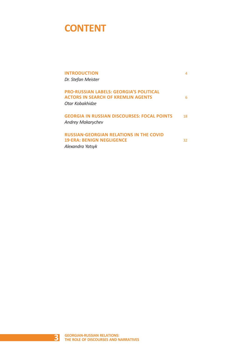# **CONTENT**

| <b>INTRODUCTION</b><br>Dr. Stefan Meister                                                                      | 4   |
|----------------------------------------------------------------------------------------------------------------|-----|
| <b>PRO-RUSSIAN LABELS: GEORGIA'S POLITICAL</b><br><b>ACTORS IN SEARCH OF KREMLIN AGENTS</b><br>Otar Kobakhidze | 6   |
| <b>GEORGIA IN RUSSIAN DISCOURSES: FOCAL POINTS</b><br><b>Andrey Makarychev</b>                                 | 18  |
| <b>RUSSIAN-GEORGIAN RELATIONS IN THE COVID</b><br><b>19-ERA: BENIGN NEGLIGENCE</b><br>Alexandra Yatsyk         | 32. |

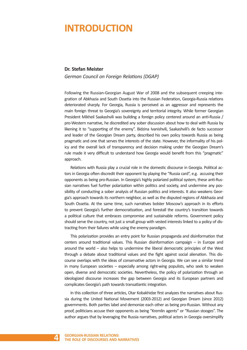# **INTRODUCTION**

### **Dr. Stefan Meister**

*German Council on Foreign Relations (DGAP)*

Following the Russian-Georgian August War of 2008 and the subsequent creeping integration of Abkhazia and South Ossetia into the Russian Federation, Georgia-Russia relations deteriorated sharply. For Georgia, Russia is perceived as an aggressor and represents the main foreign threat to Georgia's sovereignty and territorial integrity. While former Georgian President Mikheil Saakashvili was building a foreign policy centered around an anti-Russia / pro-Western narrative, he discredited any sober discussion about how to deal with Russia by likening it to "supporting of the enemy". Bidzina Ivanishvili, Saakashvili's de facto successor and leader of the Georgian Dream party, described his own policy towards Russia as being pragmatic and one that serves the interests of the state. However, the informality of his policy and the overall lack of transparency and decision making under the Georgian Dream's rule made it very difficult to understand how Georgia would benefit from this "pragmatic" approach.

Relations with Russia play a crucial role in the domestic discourse in Georgia. Political actors in Georgia often discredit their opponent by playing the "Russia card", e.g. accusing their opponents as being pro-Russian. In Georgia's highly polarized political system, these anti-Russian narratives fuel further polarization within politics and society, and undermine any possibility of conducting a sober analysis of Russian politics and interests. It also weakens Georgia's approach towards its northern neighbor, as well as the disputed regions of Abkhazia and South Ossetia. At the same time, such narratives bolster Moscow's approach in its efforts to prevent Georgia's further democratization, and forestall the country's transition towards a political culture that embraces compromise and sustainable reforms. Government policy should serve the country, not just a small group with vested interests linked to a policy of distracting from their failures while using the enemy paradigm.

This polarization provides an entry point for Russian propaganda and disinformation that centers around traditional values. This Russian disinformation campaign – in Europe and around the world – also helps to undermine the liberal democratic principles of the West through a debate about traditional values and the fight against social alienation. This discourse overlaps with the ideas of conservative actors in Georgia. We can see a similar trend in many European societies – especially among right-wing populists, who seek to weaken open, diverse and democratic societies. Nevertheless, the policy of polarization through an ideologized discourse increases the gap between Georgia and its European partners and complicates Georgia's path towards transatlantic integration.

In this collection of three articles, Otar Kobakhidze first analyzes the narratives about Russia during the United National Movement (2003-2012) and Georgian Dream (since 2012) governments. Both parties label and demonize each other as being pro-Russian. Without any proof, politicians accuse their opponents as being "Kremlin agents" or "Russian stooges". The author argues that by leveraging the Russia narratives, political actors in Georgia oversimplify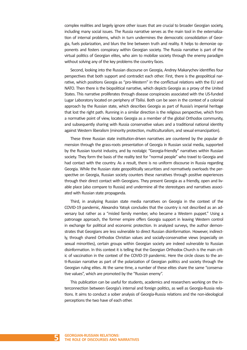complex realities and largely ignore other issues that are crucial to broader Georgian society, including many social issues. The Russia narrative serves as the main tool in the externalization of internal problems, which in turn undermines the democratic consolidation of Georgia, fuels polarization, and blurs the line between truth and reality. It helps to demonize opponents and fosters conspiracy within Georgian society. The Russia narrative is part of the virtual politics of Georgian elites, who aim to mobilize society through the enemy paradigm without solving any of the key problems the country faces.

Second, looking into the Russian discourse on Georgia, Andrey Makarychev identifies four perspectives that both support and contradict each other. First, there is the geopolitical narrative, which positions Georgia as "pro-Western" in the conflictual relations with the EU and NATO. Then there is the biopolitical narrative, which depicts Georgia as a proxy of the United States. This narrative proliferates through disease conspiracies associated with the US-funded Lugar Laboratory located on periphery of Tbilisi. Both can be seen in the context of a colonial approach by the Russian state, which describes Georgia as part of Russia's imperial heritage that lost the right path. Running in a similar direction is the religious perspective, which from a normative point of view, locates Georgia as a member of the global Orthodox community, and subsequently sharing with Russia conservative values and a traditional national identity against Western liberalism (minority protection, multiculturalism, and sexual emancipation).

These three Russian state institution-driven narratives are countered by the popular dimension through the grass-roots presentation of Georgia in Russian social media, supported by the Russian tourist industry, and by nostalgic "Georgia-friendly" narratives within Russian society. They form the basis of the reality test for "normal people" who travel to Georgia and had contact with the country. As a result, there is no uniform discourse in Russia regarding Georgia. While the Russian state geopolitically securitizes and normatively overloads the perspective on Georgia, Russian society counters these narratives through positive experiences through their direct contact with Georgians. They present Georgia as a friendly, open and livable place (also compare to Russia) and undermine all the stereotypes and narratives associated with Russian state propaganda.

Third, in analyzing Russian state media narratives on Georgia in the context of the COVID-19 pandemic, Alexandra Yatsyk concludes that the country is not described as an adversary but rather as a "misled family member, who became a Western puppet." Using a patronage approach, the former empire offers Georgia support in leaving Western control in exchange for political and economic protection. In analyzed surveys, the author demonstrates that Georgians are less vulnerable to direct Russian disinformation. However, indirectly, through shared Orthodox Christian values and socially-conservative views (especially on sexual minorities), certain groups within Georgian society are indeed vulnerable to Russian disinformation. In this context it is telling that the Georgian Orthodox Church is the main critic of vaccination in the context of the COVID-19 pandemic. Here the circle closes to the anti-Russian narrative as part of the polarization of Georgian politics and society through the Georgian ruling elites. At the same time, a number of these elites share the same "conservative values", which are promoted by the "Russian enemy".

This publication can be useful for students, academics and researchers working on the interconnection between Georgia's internal and foreign politics, as well as Georgia-Russia relations. It aims to conduct a sober analysis of Georgia-Russia relations and the non-ideological perceptions the two have of each other.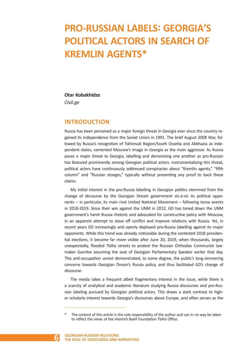# **PRO-RUSSIAN LABELS: GEORGIA'S POLITICAL ACTORS IN SEARCH OF KREMLIN AGENTS\***

# **Otar Kobakhidze**

*Civil.ge*

# **INTRODUCTION**

Russia has been perceived as a major foreign threat in Georgia ever since the country regained its independence from the Soviet Union in 1991. The brief August 2008 War, followed by Russia's recognition of Tskhinvali Region/South Ossetia and Abkhazia as independent states, cemented Moscow's image in Georgia as the main aggressor. As Russia poses a major threat to Georgia, labelling and demonizing one another as pro-Russian has featured prominently among Georgian political actors. Instrumentalizing this threat, political actors have continuously addressed conspiracies about "Kremlin agents," "fifth column" and "Russian stooges," typically without presenting any proof to back these claims.

My initial interest in the pro-Russia labelling in Georgian politics stemmed from the change of discourse by the Georgian Dream government vis-à-vis its political opponents – in particular, its main rival United National Movement – following tense events in 2018-2019. Since their win against the UNM in 2012, GD has toned down the UNM government's harsh Russia rhetoric and advocated for constructive policy with Moscow, in an apparent attempt to stave off conflict and improve relations with Russia. Yet, in recent years GD increasingly and openly deployed pro-Russia labelling against its major opponents. While this trend was already noticeable during the contested 2018 presidential elections, it became far more visible after June 20, 2019, when thousands, largely unexpectedly, flooded Tbilisi streets to protest the Russian Orthodox Communist lawmaker Gavrilov assuming the seat of Georgian Parliamentary Speaker earlier that day. This anti-occupation unrest demonstrated, to some degree, the public's long-simmering concerns towards Georgian Dream's Russia policy, and thus facilitated GD's change of discourse.

The media takes a frequent albeit fragmentary interest in the issue, while there is a scarcity of analytical and academic literature studying Russia discourses and pro-Russian labeling pursued by Georgian political actors. This draws a stark contrast to higher scholarly interest towards Georgia's discourses about Europe, and often serves as the

The content of this article is the sole responsibility of the author and can in no way be taken to reflect the views of the Heinrich Boell Foundation Tbilisi Office.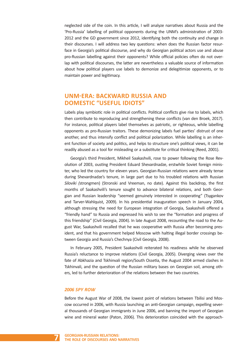neglected side of the coin. In this article, I will analyze narratives about Russia and the 'Pro-Russia' labelling of political opponents during the UNM's administration of 2003- 2012 and the GD government since 2012, identifying both the continuity and change in their discourses. I will address two key questions: when does the Russian factor resurface in Georgia's political discourse, and why do Georgian political actors use and abuse pro-Russian labelling against their opponents? While official policies often do not overlap with political discourses, the latter are nevertheless a valuable source of information about how political players use labels to demonize and delegitimize opponents, or to maintain power and legitimacy.

# **UNM-ERA: BACKWARD RUSSIA AND DOMESTIC "USEFUL IDIOTS"**

Labels play symbiotic role in political conflicts. Political conflicts give rise to labels, which then contribute to reproducing and strengthening these conflicts (van den Broek, 2017). For instance, political players label themselves as patriotic, or righteous, while labelling opponents as pro-Russian traitors. These demonizing labels fuel parties' distrust of one another, and thus intensify conflict and political polarization. While labelling is an inherent function of society and politics, and helps to structure one's political views, it can be readily abused as a tool for misleading or a substitute for critical thinking (Reed, 2001).

Georgia's third President, Mikheil Saakashvili, rose to power following the Rose Revolution of 2003, ousting President Eduard Shevardnadze, erstwhile Soviet foreign minister, who led the country for eleven years. Georgian-Russian relations were already tense during Shevardnadze's tenure, in large part due to his troubled relations with Russian *Siloviki (*strongmen) (Stronski and Vreeman, no date). Against this backdrop, the first months of Saakashvili's tenure sought to advance bilateral relations, and both Georgian and Russian leadership "seemed genuinely interested in cooperating" (Tsygankov and Tarver-Wahlquist, 2009). In his presidential inauguration speech in January 2004, although stressing the need for European integration of Georgia, Saakashvili offered a "friendly hand" to Russia and expressed his wish to see the "formation and progress of this friendship" (Civil Georgia, 2004). In late August 2008, recounting the road to the August War, Saakashvili recalled that he was cooperative with Russia after becoming president, and that his government helped Moscow with halting illegal border crossings between Georgia and Russia's Chechnya (Civil Georgia, 2008).

In February 2005, President Saakashvili reiterated his readiness while he observed Russia's reluctance to improve relations (Civil Georgia, 2005). Diverging views over the fate of Abkhazia and Tskhinvali region/South Ossetia, the August 2004 armed clashes in Tskhinvali, and the question of the Russian military bases on Georgian soil, among others, led to further deterioration of the relations between the two countries.

#### *2006 SPY ROW*

Before the August War of 2008, the lowest point of relations between Tbilisi and Moscow occurred in 2006, with Russia launching an anti-Georgian campaign, expelling several thousands of Georgian immigrants in June 2006, and banning the import of Georgian wine and mineral water (Paton, 2006). This deterioration coincided with the approach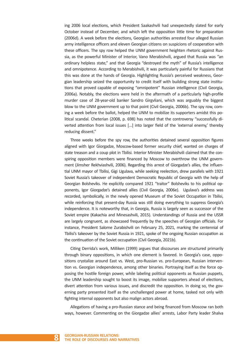ing 2006 local elections, which President Saakashvili had unexpectedly slated for early October instead of December, and which left the opposition little time for preparation (2006d). A week before the elections, Georgian authorities arrested four alleged Russian army intelligence officers and eleven Georgian citizens on suspicions of cooperation with these officers. The spy row helped the UNM government heighten rhetoric against Russia, as the powerful Minister of Interior, Vano Merabishvili, argued that Russia was "an ordinary helpless state," and that Georgia "destroyed the myth" of Russia's intelligence and omnipotence. According to Merabishvili, it was particularly painful for Russians that this was done at the hands of Georgia. Highlighting Russia's perceived weakness, Georgian leadership seized the opportunity to credit itself with building strong state institutions that proved capable of exposing "omnipotent" Russian intelligence (Civil Georgia, 2006a). Notably, the elections were held in the aftermath of a particularly high-profile murder case of 28-year-old banker Sandro Girgvliani, which was arguably the biggest blow to the UNM government up to that point (Civil Georgia, 2006b). The spy row, coming a week before the ballot, helped the UNM to mobilize its supporters amidst this political scandal. Cheterian (2008, p. 698) has noted that the controversy "successfully diverted attention from local issues […] into larger field of the 'external enemy,' thereby reducing dissent."

Three weeks before the spy row, the authorities detained several opposition figures aligned with Igor Giorgadze, Moscow-based former security chief, wanted on charges of state treason and a coup plot in Tbilisi. Interior Minister Merabishvili claimed that the conspiring opposition members were financed by Moscow to overthrow the UNM government (Jimsher Rekhviashvili, 2006). Regarding this arrest of Giorgadze's allies, the influential UNM mayor of Tbilisi, Gigi Ugulava, while seeking reelection, drew parallels with 1921 Soviet Russia's takeover of independent Democratic Republic of Georgia with the help of Georgian Bolsheviks. He explicitly compared 1921 "traitor" Bolsheviks to his political opponents, Igor Giorgadze's detained allies (Civil Georgia, 2006e). Ugulava's address was recorded, symbolically, in the newly opened Museum of the Soviet Occupation in Tbilisi, while reinforcing that present-day Russia was still doing everything to suppress Georgia's independence. It is noteworthy that, in Georgia, Russia is largely seen as successor of the Soviet empire (Kakachia and Minesashvili, 2015). Understandings of Russia and the USSR are largely congruent, as showcased frequently by the speeches of Georgian officials. For instance, President Salome Zurabishvili on February 25, 2021, marking the centennial of Tbilisi's takeover by the Soviet Russia in 1921, spoke of the ongoing Russian occupation as the continuation of the Soviet occupation (Civil Georgia, 2021b).

Citing Derrida's work, Milliken (1999) argues that discourses are structured primarily through binary oppositions, in which one element is favored. In Georgia's case, oppositions crystalize around East vs. West, pro-Russian vs. pro-European, Russian intervention vs. Georgian independence, among other binaries. Portraying itself as the force opposing the hostile foreign power, while labeling political opponents as Russian puppets, the UNM leadership sought to boost its image, mobilize supporters ahead of elections, divert attention from various issues, and discredit the opposition. In doing so, the governing party presented itself as the unchallenged power at home, tasked not only with fighting internal opponents but also malign actors abroad.

Allegations of having a pro-Russian stance and being financed from Moscow ran both ways, however. Commenting on the Giorgadze allies' arrests, Labor Party leader Shalva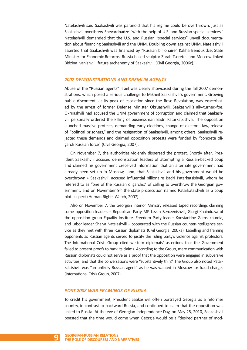Natelashvili said Saakashvili was paranoid that his regime could be overthrown, just as Saakashvili overthrew Shevardnadze "with the help of U.S. and Russian special services." Natelashvili demanded that the U.S. and Russian "special services" unveil documentation about financing Saakashvili and the UNM. Doubling down against UNM, Natelashvili asserted that Saakashvili was financed by "Russian billionaire" Kakha Bendukidze, State Minister for Economic Reforms, Russia-based sculptor Zurab Tsereteli and Moscow-linked Bidzina Ivanishvili, future archenemy of Saakashvili (Civil Georgia, 2006c).

#### *2007 DEMONSTRATIONS AND KREMLIN AGENTS*

Abuse of the "Russian agents" label was clearly showcased during the fall 2007 demonstrations, which posed a serious challenge to Mikheil Saakashvili's government. Growing public discontent, at its peak of escalation since the Rose Revolution, was exacerbated by the arrest of former Defense Minister Okruashvili, Saakashvili's ally-turned-foe. Okruashvili had accused the UNM government of corruption and claimed that Saakashvili personally ordered the killing of businessman Badri Patarkatsishvili. The opposition launched massive protests, demanding early elections, change of electoral law, release of "political prisoners," and the resignation of Saakashvili, among others. Saakashvili rejected these demands and claimed opposition protests were funded by "concrete oligarch Russian force" (Civil Georgia, 2007).

On November 7, the authorities violently dispersed the protest. Shortly after, President Saakashvili accused demonstration leaders of attempting a Russian-backed coup and claimed his government «received information that an alternate government had already been set up in Moscow, [and] that Saakashvili and his government would be overthrown.» Saakashvili accused influential billionaire Badri Patarkatsishvili, whom he referred to as "one of the Russian oligarchs," of calling to overthrow the Georgian government, and on November 9<sup>th</sup> the state prosecution named Patarkatsishvili as a coup plot suspect (Human Rights Watch, 2007).

Also on November 7, the Georgian Interior Ministry released taped recordings claiming some opposition leaders – Republican Party MP Levan Berdzenishvili, Giorgi Khaindrava of the opposition group Equality Institute, Freedom Party leader Konstantine Gamsakhurdia, and Labor leader Shalva Natelashvili – cooperated with the Russian counter-intelligence service as they met with three Russian diplomats (Civil Georgia, 2007a). Labelling and framing opponents as Russian agents served to justify the ruling party's violence against protestors. The International Crisis Group cited western diplomats' assertions that the Government failed to present proofs to back its claims. According to the Group, mere communication with Russian diplomats could not serve as a proof that the opposition were engaged in subversive activities, and that the conversations were "substantively thin." The Group also noted Patarkatsishvili was "an unlikely Russian agent" as he was wanted in Moscow for fraud charges (International Crisis Group, 2007).

#### *POST 2008 WAR FRAMINGS OF RUSSIA*

To credit his government, President Saakashvili often portrayed Georgia as a reformer country, in contrast to backward Russia, and continued to claim that the opposition was linked to Russia. At the eve of Georgian Independence Day, on May 25, 2010, Saakashvili boasted that the time would come when Georgia would be a "desired partner of mod-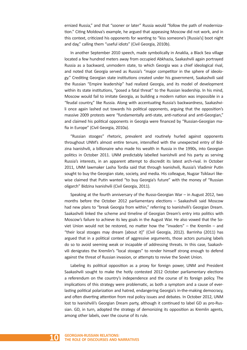ernized Russia," and that "sooner or later" Russia would "follow the path of modernization." Citing Moldova's example, he argued that appeasing Moscow did not work, and in this context, criticized his opponents for wanting to "kiss someone's [Russia's] boot night and day," calling them "useful idiots" (Civil Georgia, 2010b).

In another September 2010 speech, made symbolically in Anaklia, a Black Sea village located a few hundred meters away from occupied Abkhazia, Saakashvili again portrayed Russia as a backward, unmodern state, to which Georgia was a chief ideological rival, and noted that Georgia served as Russia's "major competitor in the sphere of ideology." Crediting Georgian state institutions created under his government, Saakashvili said the Russian "Empire leadership" had realized Georgia, and its model of development within its state institutions, "posed a fatal threat" to the Russian leadership. In his mind, Moscow would fail to imitate Georgia, as building a modern nation was impossible in a "feudal country," like Russia. Along with accentuating Russia's backwardness, Saakashvili once again lashed out towards his political opponents, arguing that the opposition's massive 2009 protests were "fundamentally anti-state, anti-national and anti-Georgian," and claimed his political opponents in Georgia were financed by "Russian-Georgian mafia in Europe" (Civil Georgia, 2010a).

"Russian stooges" rhetoric, prevalent and routinely hurled against opponents throughout UNM's almost entire tenure, intensified with the unexpected entry of Bidzina Ivanishvili, a billionaire who made his wealth in Russia in the 1990s, into Georgian politics in October 2011. UNM predictably labelled Ivanishvili and his party as serving Russia's interests, in an apparent attempt to discredit its latest arch-rival. In October 2011, UNM lawmaker Lasha Tordia said that through Ivanishvili, Russia's Vladimir Putin sought to buy the Georgian state, society, and media. His colleague, Nugzar Tsiklauri likewise claimed that Putin wanted "to buy Georgia's future" with the money of "Russian oligarch" Bidzina Ivanishvili (Civil Georgia, 2011).

Speaking at the fourth anniversary of the Russo-Georgian War – in August 2012, two months before the October 2012 parliamentary elections – Saakashvili said Moscow had new plans to "break Georgia from within," referring to Ivanishvili's Georgian Dream. Saakashvili linked the scheme and timeline of Georgian Dream's entry into politics with Moscow's failure to achieve its key goals in the August War. He also vowed that the Soviet Union would not be restored, no matter how the "invaders" – the Kremlin – and "their local stooges may dream [about it]" (Civil Georgia, 2012). Barrinha (2011) has argued that in a political context of aggressive arguments, those actors pursuing labels do so to avoid seeming weak or incapable of addressing threats. In this case, Saakashvili denigrates the Kremlin's "local stooges" to render himself strong enough to defend against the threat of Russian invasion, or attempts to revive the Soviet Union.

Labeling its political opposition as a proxy for foreign power, UNM and President Saakashvili sought to make the hotly contested 2012 October parliamentary elections a referendum on the country's independence and the course of its foreign policy. The implications of this strategy were problematic, as both a symptom and a cause of everlasting political polarization and hatred, endangering Georgia's in-the-making democracy, and often diverting attention from real policy issues and debates. In October 2012, UNM lost to Ivanishvili's Georgian Dream party, although it continued to label GD as pro-Russian. GD, in turn, adopted the strategy of demonizing its opposition as Kremlin agents, among other labels, over the course of its rule.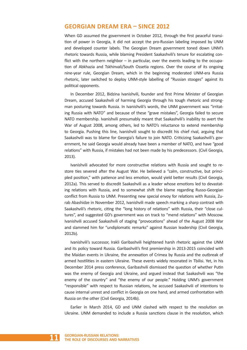# **GEORGIAN DREAM ERA – SINCE 2012**

When GD assumed the government in October 2012, through the first peaceful transition of power in Georgia, it did not accept the pro-Russian labeling imposed by UNM and developed counter labels. The Georgian Dream government toned down UNM's rhetoric towards Russia, while blaming President Saakashvili's tenure for escalating conflict with the northern neighbor – in particular, over the events leading to the occupation of Abkhazia and Tskhinvali/South Ossetia regions. Over the course of its ongoing nine-year rule, Georgian Dream, which in the beginning moderated UNM-era Russia rhetoric, later switched to deploy UNM-style labelling of "Russian stooges" against its political opponents.

In December 2012, Bidzina Ivanishvili, founder and first Prime Minister of Georgian Dream, accused Saakashvili of harming Georgia through his tough rhetoric and strongman posturing towards Russia. In Ivanishvili's words, the UNM government was "irritating Russia with NATO" and because of these "grave mistakes", Georgia failed to secure NATO membership. Ivanishvili presumably meant that Saakashvili's inability to avert the War of August 2008, among others, led to NATO's reluctance to extend membership to Georgia. Pushing this line, Ivanishvili sought to discredit his chief rival, arguing that Saakashvili was to blame for Georgia's failure to join NATO. Criticizing Saakashvili's government, he said Georgia would already have been a member of NATO, and have "good relations" with Russia, if mistakes had not been made by his predecessors. (Civil Georgia, 2013).

Ivanishvili advocated for more constructive relations with Russia and sought to restore ties severed after the August War. He believed a "calm, constructive, but principled position," with patience and less emotion, would yield better results (Civil Georgia, 2012a). This served to discredit Saakashvili as a leader whose emotions led to devastating relations with Russia, and to somewhat shift the blame regarding Russo-Georgian conflict from Russia to UNM. Presenting new special envoy for relations with Russia, Zurab Abashidze in November 2012, Ivanishvili made speech marking a sharp contrast with Saakashvili's rhetoric, citing the "long history of relations" with Russia, their "close cultures", and suggested GD's government was on track to "mend relations" with Moscow. Ivanishvili accused Saakashvili of staging "provocations" ahead of the August 2008 War and slammed him for "undiplomatic remarks" against Russian leadership (Civil Georgia, 2012b).

Ivanishvili's successor, Irakli Garibashvili heightened harsh rhetoric against the UNM and its policy toward Russia. Garibashvili's first premiership in 2013-2015 coincided with the Maidan events in Ukraine, the annexation of Crimea by Russia and the outbreak of armed hostilities in eastern Ukraine. These events widely resonated in Tbilisi. Yet, in his December 2014 press conference, Garibashvili dismissed the question of whether Putin was the enemy of Georgia and Ukraine, and argued instead that Saakashvili was "the enemy of the country" and "the enemy of our people." Holding UNM's government "responsible" with respect to Russian relations, he accused Saakashvili of intentions to cause internal unrest and conflict in Georgia on one hand, and armed confrontation with Russia on the other (Civil Georgia, 2014b).

Earlier in March 2014, GD and UNM clashed with respect to the resolution on Ukraine. UNM demanded to include a Russia sanctions clause in the resolution, which

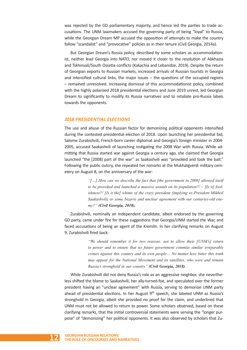was rejected by the GD parliamentary majority, and hence led the parties to trade accusations. The UNM lawmakers accused the governing party of being "loyal" to Russia, while the Georgian Dream MP accused the opposition of attempts to make the country follow "scandalist" and "provocative" policies as in their tenure (Civil Georgia, 2014a).

But Georgian Dream's Russia policy, described by some scholars as accommodationist, neither lead Georgia into NATO, nor moved it closer to the resolution of Abkhazia and Tskhinvali/South Ossetia conflicts (Kakachia and Lebanidze, 2019). Despite the return of Georgian exports to Russian markets, increased arrivals of Russian tourists in Georgia and intensified cultural links, the major issues – the questions of the occupied regions – remained unresolved. Increasing dismissal of this accommodationist policy, combined with the highly polarized 2018 presidential elections and June 2019 unrest, led Georgian Dream to significantly to modify its Russia narratives and to retaliate pro-Russia labels towards the opponents.

#### *2018 PRESIDENTIAL ELECTIONS*

The use and abuse of the Russian factor for demonizing political opponents intensified during the contested presidential election of 2018. Upon launching her presidential bid, Salome Zurabishvili, French-born career diplomat and Georgia's foreign minister in 2004- 2005, accused Saakashvili of launching instigating the 2008 War with Russia. While admitting that Russia started war against Georgia a century ago, she claimed that Georgia launched "the [2008] part of the war" as Saakashvili was "provoked and took the bait." Following the public outcry, she repeated her remarks at the Mukhatgverdi military cemetery on August 8, on the anniversary of the war:

> *"[…] How can we describe the fact that [the government in 2008] allowed itself to be provoked and launched a massive assault on its population?! – [Is it] foolishness?! [Is it the] whims of the crazy president (implying ex-President Mikheil Saakashvili) or some bizarre and unclear agreement with our centuries-old enemy?" (Civil Georgia, 2018).*

Zurabishvili, nominally an independent candidate, albeit endorsed by the governing GD party, came under fire for these suggestions that Georgia/UNM started the War, and faced accusations of being an agent of the Kremlin. In her clarifying remarks on August 9, Zurabishvili fired back:

> *"We should remember it for two reasons: not to allow their [UNM's] return to power and to ensure that no future government commits similar irreparable crimes against this country and its own people… No matter how bitter this truth may appear for the National Movement and its satellites, who were and remain Russia's stronghold in our country" (Civil Georgia, 2018).*

While Zurabishvili did not deny Russia's role as an aggressive neighbor, she nevertheless shifted the blame to Saakashvili, her ally-turned-foe, and speculated over the former president having an "unclear agreement" with Russia, serving to demonize UNM party ahead of presidential elections. In her August  $9<sup>th</sup>$  speech, she labeled UNM as Russia's stronghold in Georgia, albeit she provided no proof for the claim, and underlined that UNM must not be allowed to return to power. Some scholars observed, based on these clarifying remarks, that the initial controversial statements were serving the "longer purpose" of "demonizing" her political opponents. It was also observed by scholars that Zu-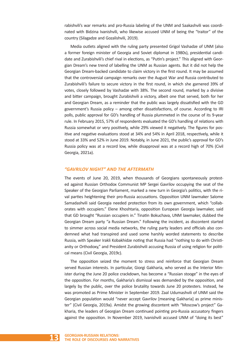rabishvili's war remarks and pro-Russia labeling of the UNM and Saakashvili was coordinated with Bidzina Ivanishvili, who likewise accused UNM of being the "traitor" of the country (Silagadze and Gozalishvili, 2019).

Media outlets aligned with the ruling party presented Grigol Vashadze of UNM (also a former foreign minister of Georgia and Soviet diplomat in 1980s), presidential candidate and Zurabishvili's chief rival in elections, as "Putin's project." This aligned with Georgian Dream's new trend of labelling the UNM as Russian agents. But it did not help the Georgian Dream-backed candidate to claim victory in the first round. It may be assumed that the controversial campaign remarks over the August War and Russia contributed to Zurabishvili's failure to secure victory in the first round, in which she garnered 39% of votes, closely followed by Vashadze with 38%. The second round, marked by a divisive and bitter campaign, brought Zurabishvili a victory, albeit one that served, both for her and Georgian Dream, as a reminder that the public was largely dissatisfied with the GD government's Russia policy – among other dissatisfactions, of course. According to IRI polls, public approval for GD's handling of Russia plummeted in the course of its 9-year rule. In February 2015, 57% of respondents evaluated the GD's handling of relations with Russia somewhat or very positively, while 29% viewed it negatively. The figures for positive and negative evaluations stood at 34% and 54% in April 2018, respectively, while it stood at 33% and 52% in June 2019. Notably, in June 2021, the public's approval for GD's Russia policy was at a record low, while disapproval was at a record high of 70% (Civil Georgia, 2021a).

#### *"GAVRILOV NIGHT" AND THE AFTERMATH*

The events of June 20, 2019, when thousands of Georgians spontaneously protested against Russian Orthodox Communist MP Sergei Gavrilov occupying the seat of the Speaker of the Georgian Parliament, marked a new turn in Georgia's politics, with the rival parties heightening their pro-Russia accusations. Opposition UNM lawmaker Salome Samadashvili said Georgia needed protection from its own government, which "collaborates with occupiers." Elene Khoshtaria, opposition European Georgia lawmaker, said that GD brought "Russian occupiers in." Tinatin Bokuchava, UNM lawmaker, dubbed the Georgian Dream party "a Russian Dream." Following the incident, as discontent started to simmer across social media networks, the ruling party leaders and officials also condemned what had transpired and used some harshly worded statements to describe Russia, with Speaker Irakli Kobakhidze noting that Russia had "nothing to do with Christianity or Orthodoxy," and President Zurabishvili accusing Russia of using religion for political means (Civil Georgia, 2019c).

The opposition seized the moment to stress and reinforce that Georgian Dream served Russian interests. In particular, Giorgi Gakharia, who served as the Interior Minister during the June 20 police crackdown, has become a "Russian stooge" in the eyes of the opposition. For months, Gakharia's dismissal was demanded by the opposition, and largely by the public, over the police brutality towards June 20 protesters. Instead, he was promoted as Prime Minister in September 2019. Zaal Udumashvili of UNM said the Georgian population would "never accept Gavrilov [meaning Gakharia] as prime minister" (Civil Georgia, 2019a). Amidst the growing discontent with "Moscow's project" Gakharia, the leaders of Georgian Dream continued pointing pro-Russia accusatory fingers against the opposition. In November 2019, Ivanishvili accused UNM of "doing its best"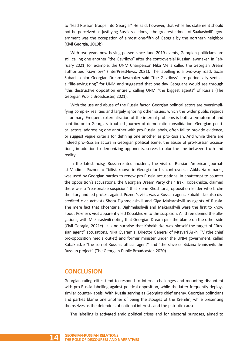to "lead Russian troops into Georgia." He said, however, that while his statement should not be perceived as justifying Russia's actions, "the greatest crime" of Saakashvili's government was the occupation of almost one-fifth of Georgia by the northern neighbor (Civil Georgia, 2019b).

With two years now having passed since June 2019 events, Georgian politicians are still calling one another "the Gavrilovs" after the controversial Russian lawmaker. In February 2021, for example, the UNM Chairperson Nika Melia called the Georgian Dream authorities "Gavrilovs" (InterPressNews, 2021). The labelling is a two-way road: Sozar Subari, senior Georgian Dream lawmaker said "the Gavrilovs" are periodically sent as a "life-saving ring" for UNM and suggested that one day Georgians would see through "this destructive opposition entirely, calling UNM "the biggest agents" of Russia (The Georgian Public Broadcaster, 2021).

With the use and abuse of the Russia factor, Georgian political actors are oversimplifying complex realities and largely ignoring other issues, which the wider public regards as primary. Frequent externalization of the internal problems is both a symptom of and contributor to Georgia's troubled journey of democratic consolidation. Georgian political actors, addressing one another with pro-Russia labels, often fail to provide evidence, or suggest vague criteria for defining one another as pro-Russian. And while there are indeed pro-Russian actors in Georgian political scene, the abuse of pro-Russian accusations, in addition to demonizing opponents, serves to blur the line between truth and reality.

In the latest noisy, Russia-related incident, the visit of Russian American journalist Vladimir Pozner to Tbilisi, known in Georgia for his controversial Abkhazia remarks, was used by Georgian parties to renew pro-Russia accusations. In anattempt to counter the opposition's accusations, the Georgian Dream Party chair, Irakli Kobakhidze, claimed there was a "reasonable suspicion" that Elene Khoshtaria, opposition leader who broke the story and led protest against Pozner's visit, was a Russian agent. Kobakhidze also discredited civic activists Shota Dighmelashvili and Giga Makarashvili as agents of Russia. The mere fact that Khoshtaria, Dighmelashvili and Makarashvili were the first to know about Pozner's visit apparently led Kobakhidze to the suspicion. All three denied the allegations, with Makarashvili noting that Georgian Dream pins the blame on the other side (Civil Georgia, 2021c). It is no surprise that Kobakhidze was himself the target of "Russian agent" accusations. Nika Gvaramia, Director General of Mtavari Arkhi TV (the chief pro-opposition media outlet) and former minister under the UNM government, called Kobakhidze "the son of Russia's official agent" and "the slave of Bidzina Ivanishvili, the Russian project" (The Georgian Public Broadcaster, 2020).

# **CONCLUSION**

Georgian ruling elites tend to respond to internal challenges and mounting discontent with pro-Russia labelling against political opposition, while the latter frequently deploys similar counter-labels. With Russia serving as Georgia's chief enemy, Georgian politicians and parties blame one another of being the stooges of the Kremlin, while presenting themselves as the defenders of national interests and the patriotic cause.

The labelling is activated amid political crises and for electoral purposes, aimed to

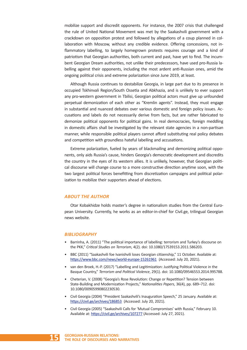mobilize support and discredit opponents. For instance, the 2007 crisis that challenged the rule of United National Movement was met by the Saakashvili government with a crackdown on opposition protest and followed by allegations of a coup planned in collaboration with Moscow, without any credible evidence. Offering concessions, not inflammatory labelling, to largely homegrown protests requires courage and a kind of patriotism that Georgian authorities, both current and past, have yet to find. The incumbent Georgian Dream authorities, not unlike their predecessors, have used pro-Russia labelling against their opponents, including the most ardent anti-Russian ones, amid the ongoing political crisis and extreme polarization since June 2019, at least.

Although Russia continues to destabilize Georgia, in large part due to its presence in occupied Tskhinvali Region/South Ossetia and Abkhazia, and is unlikely to ever support any pro-western government in Tbilisi, Georgian political actors must give up unfounded perpetual demonization of each other as "Kremlin agents". Instead, they must engage in substantial and nuanced debates over various domestic and foreign policy issues. Accusations and labels do not necessarily derive from facts, but are rather fabricated to demonize political opponents for political gains. In real democracies, foreign meddling in domestic affairs shall be investigated by the relevant state agencies in a non-partisan manner, while responsible political players cannot afford substituting real policy debates and competition with groundless hateful labelling and accusations.

Extreme polarization, fueled by years of blackmailing and demonizing political opponents, only aids Russia's cause, hinders Georgia's democratic development and discredits the country in the eyes of its western allies. It is unlikely, however, that Georgian political discourse will change course to a more constructive direction anytime soon, with the two largest political forces benefitting from discretization campaigns and political polarization to mobilize their supporters ahead of elections.

#### *ABOUT THE AUTHOR*

Otar Kobakhidze holds master's degree in nationalism studies from the Central European University. Currently, he works as an editor-in-chief for Civil.ge, trilingual Georgian news website.

#### *BIBLIOGRAPHY*

- Barrinha, A. (2011) "The political importance of labelling: terrorism and Turkey's discourse on the PKK," *Critical Studies on Terrorism*, 4(2). doi: 10.1080/17539153.2011.586203.
- BBC (2011) "Saakashvili foe Ivanishvili loses Georgian citizenship," 11 October. Available at: https://www.bbc.com/news/world-europe-15261961 (Accessed: July 20, 2021).
- van den Broek, H.-P. (2017) "Labelling and Legitimization: Justifying Political Violence in the Basque Country," *Terrorism and Political Violence*, 29(1). doi: 10.1080/09546553.2014.995788.
- Cheterian, V. (2008) "Georgia's Rose Revolution: Change or Repetition? Tension between State-Building and Modernization Projects," *Nationalities Papers*, 36(4), pp. 689–712. doi: 10.1080/00905990802230530.
- Civil Georgia (2004) "President Saakashvili's Inauguration Speech," 25 January. Available at: https://civil.ge/archives/186853 (Accessed: July 20, 2021).
- Civil Georgia (2005) "Saakashvili Calls for 'Mutual Compromises' with Russia," February 10. Available at: https://civil.ge/archives/107277 (Accessed: July 27, 2021).

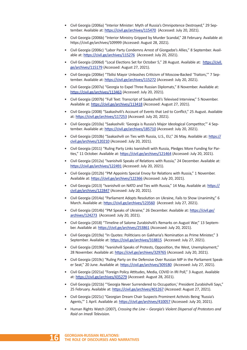- Civil Georgia (2006a) "Interior Minister: Myth of Russia's Omnipotence Destroyed," 29 September. Available at: https://civil.ge/archives/115470 (Accessed: July 20, 2021).
- Civil Georgia (2006b) "Interior Ministry Gripped by Murder Scandal," 28 February. Available at: https://civil.ge/archives/109999 (Accessed: August 28, 2021).
- Civil Georgia (2006c) "Labor Party Condemns Arrest of Giorgadze's Allies," 8 September. Available at: https://civil.ge/archives/115276 (Accessed: July 20, 2021).
- Civil Georgia (2006d) "Local Elections Set for October 5," 28 August. Available at: https://civil. ge/archives/115179 (Accessed: August 27, 2021).
- Civil Georgia (2006e) "Tbilisi Mayor Unleashes Criticism of Moscow-Backed 'Traitors,'" 7 September. Available at: https://civil.ge/archives/115272 (Accessed: July 20, 2021).
- Civil Georgia (2007a) "Georgia to Expel Three Russian Diplomats," 8 November. Available at: https://civil.ge/archives/113463 (Accessed: July 20, 2021).
- Civil Georgia (2007b) "Full Text: Transcript of Saakashvili's Televised Interview," 5 November. Available at: https://civil.ge/archives/113418 (Accessed: August 27, 2021).
- Civil Georgia (2008) "Saakashvili's Account of Events that Led to Conflict," 25 August. Available at: https://civil.ge/archives/117253 (Accessed: July 20, 2021).
- Civil Georgia (2010a) "Saakashvili: 'Georgia is Russia's Major Ideological Competitor,'" 4 September. Available at: https://civil.ge/archives/185710 (Accessed: July 20, 2021).
- Civil Georgia (2010b) "Saakashvili on Ties with Russia, U.S., EU," 26 May. Available at: https:// civil.ge/archives/120210 (Accessed: July 20, 2021).
- Civil Georgia (2011) "Ruling Party Links Ivanishvili with Russia, Pledges More Funding for Parties," 11 October. Available at: https://civil.ge/archives/121464 (Accessed: July 20, 2021).
- Civil Georgia (2012a) "Ivanishvili Speaks of Relations with Russia," 24 December. Available at: https://civil.ge/archives/122491 (Accessed: July 20, 2021).
- Civil Georgia (2012b) "PM Appoints Special Envoy for Relations with Russia," 1 November. Available at: https://civil.ge/archives/122366 (Accessed: July 20, 2021).
- Civil Georgia (2013) "Ivanishvili on NATO and Ties with Russia," 14 May. Available at: https:// civil.ge/archives/122847 (Accessed: July 20, 2021).
- Civil Georgia (2014a) "Parliament Adopts Resolution on Ukraine, Fails to Show Unanimity," 6 March. Available at: https://civil.ge/archives/123560 (Accessed: July 27, 2021).
- Civil Georgia (2014b) "PM Speaks of Ukraine," 26 December. Available at: https://civil.ge/ archives/124273 (Accessed: July 20, 2021).
- Civil Georgia (2018) "Timeline of Salome Zurabishvili's Remarks on August War," 13 September. Available at: https://civil.ge/archives/253861 (Accessed: July 20, 2021).
- Civil Georgia (2019a) "In Quotes: Politicians on Gakharia's Nomination as Prime Minister," 3 September. Available at: https://civil.ge/archives/318815 (Accessed: July 27, 2021).
- Civil Georgia (2019b) "Ivanishvili Speaks of Protests, Opposition, the West, Unemployment," 28 November. Available at: https://civil.ge/archives/329765 (Accessed: July 20, 2021).
- Civil Georgia (2019c) "Ruling Party on the Defensive Over Russian MP in the Parliament Speaker Seat," 20 June. Available at: https://civil.ge/archives/309180 (Accessed: July 27, 2021).
- Civil Georgia (2021a) "Foreign Policy Attitudes, Media, COVID in IRI Poll," 3 August. Available at: https://civil.ge/archives/435279 (Accessed: August 28, 2021).
- Civil Georgia (2021b) "'Georgia Never Surrendered to Occupation,' President Zurabishvili Says," 25 February. Available at: https://civil.ge/archives/401267 (Accessed: August 27, 2021).
- Civil Georgia (2021c) "Georgian Dream Chair Suspects Prominent Activists Being 'Russia's Agents,'" 1 April. Available at: https://civil.ge/archives/410057 (Accessed: July 20, 2021).
- Human Rights Watch (2007), *Crossing the Line Georgia's Violent Dispersal of Protestors and Raid on Imedi Television*.

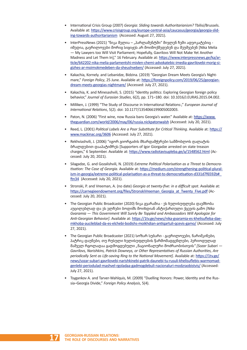- International Crisis Group (2007) *Georgia: Sliding towards Authoritarianism?* Tbilisi/Brussels. Available at: https://www.crisisgroup.org/europe-central-asia/caucasus/georgia/georgia-sliding-towards-authoritarianism (Accessed: August 27, 2021).
- InterPressNews (2021) "ნიკა მელია "პარლამენტში" მივლენ ჩემი ადვოკატებიც იმედია, გავრილოვები მორიგ სიგიჟეს არ მოიმოქმედებენ და შეუშვებენ [Nika Melia — My Lawyers too Will Visit Parliament; Hopefully, Gavrilovs Will Not Make Yet Another Madness and Let Them In]," 16 February. Available at: https://www.interpressnews.ge/ka/article/642202-nika-melia-parlamentshi-mivlen-chemi-advokatebic-imedia-gavrilovebi-morig-sigizhes-ar-moimokmedeben-da-sheushveben/ (Accessed: July 27, 2021).
- Kakachia, Kornely. and Lebanidze, Bidzina. (2019) "Georgian Dream Meets Georgia's Nightmare," *Foreign Policy*, 25 June. Available at: https://foreignpolicy.com/2019/06/25/georgiandream-meets-georgias-nightmare/ (Accessed: July 27, 2021).
- Kakachia, K. and Minesashvili, S. (2015) "Identity politics: Exploring Georgian foreign policy behavior," *Journal of Eurasian Studies*, 6(2), pp. 171–180. doi: 10.1016/J.EURAS.2015.04.002.
- Milliken, J. (1999) "The Study of Discourse in International Relations:," *European Journal of International Relations*, 5(2). doi: 10.1177/1354066199005002003.
- Paton, N. (2006) "First wine, now Russia bans Georgia's water." Available at: https://www. theguardian.com/world/2006/may/06/russia.nickpatonwalsh (Accessed: July 20, 2021).
- Reed, L. (2001) *Political Labels Are a Poor Substitute for Critical Thinking*. Available at: https:// www.mackinac.org/3606 (Accessed: July 27, 2021).
- Rekhviashvili, J. (2006) "იგორ გიორგაძის მხარდამჭერები სამშობლოს ღალატის ბრალდებით დააპატიმრეს [Supporters of Igor Giorgadze arrested on state treason charges," 6 September. Available at: https://www.radiotavisupleba.ge/a/1548562.html (Accessed: July 20, 2021).
- Silagadze, G. and Gozalishvili, N. (2019) *Extreme Political Polarisation as a Threat to Democratisation: The Case of Georgia*. Available at: https://medium.com/strengthening-political-pluralism-in-georgia/extreme-political-polarisation-as-a-threat-to-democratisation-d331d7f6592b#\_ ftn34 (Accessed: July 20, 2021).
- Stronski, P. and Vreeman, A. (no date) *Georgia at twenty-five: in a difficult spot*. Available at: https://carnegieendowment.org/files/StronskiVreeman\_Georgia\_at\_Twenty\_Five.pdf (Accessed: July 20, 2021).
- The Georgian Public Broadcaster (2020) ნიკა გვარამიაეს ხელისუფლება დაემხობა აუცილებლად და ეს ელჩები ბოდიშს მოიხდიან ანტიქართული ქცევის გამო *[Nika Gvaramia — This Government Will Surely Be Toppled and Ambassadors Will Apologize for Anti-Georgian Behavior]*. Available at: https://1tv.ge/news/nika-gvaramia-es-khelisufleba-daemkhoba-aucileblad-da-es-elchebi-bodishs-moikhdian-antiqartuli-qcevis-gamo/ (Accessed: July 27, 2021).
- The Georgian Public Broadcaster (2021) სოზარ სუბარიგავრილოვები*,* ნარიშკინები*,*  პატრიკ დაუნები*,* თუ რუსული ხელისუფლების წარმომადგენლები*,* პერიოდულად მაშველ რგოლადაა გადმოგდებული *"*ნაციონალური მოძრაობისთვის*" [Sozar Subari — Gavrilovs, Narishkins, Patrick Downeys, or Other Representatives of Russian Authorities, Are periodically Sent as Life-saving Ring to the National Movement]*. Available at: https://1tv.ge/ news/sozar-subari-gavrilovebi-narishkinebi-patrik-daunebi-tu-rusuli-khelisuflebis-warmomadgenlebi-periodulad-mashvel-rgoladaa-gadmogdebuli-nacionaluri-modzraobistvis/ (Accessed: July 27, 2021).
- Tsygankov A. and Tarver-Wahlquis, M. (2009) "Duelling Honors: Power, Identity and the Russia–Georgia Divide," *Foreign Policy Analysis*, 5(4).

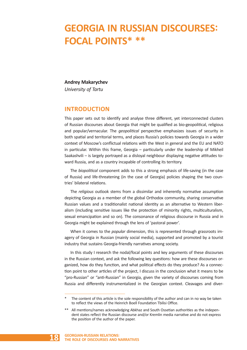# **GEORGIA IN RUSSIAN DISCOURSES: FOCAL POINTS\* \*\***

### **Andrey Makarychev**

*University of Tartu*

# **INTRODUCTION**

This paper sets out to identify and analyse three different, yet interconnected clusters of Russian discourses about Georgia that might be qualified as bio-geopolitical, religious and popular/vernacular. The *geopolitical* perspective emphasizes issues of security in both spatial and territorial terms, and places Russia's policies towards Georgia in a wider context of Moscow's conflictual relations with the West in general and the EU and NATO in particular. Within this frame, Georgia – particularly under the leadership of Mikheil Saakashvili – is largely portrayed as a disloyal neighbour displaying negative attitudes toward Russia, and as a country incapable of controlling its territory.

The *biopolitical* component adds to this a strong emphasis of life-saving (in the case of Russia) and life-threatening (in the case of Georgia) policies shaping the two countries' bilateral relations.

The *religious* outlook stems from a dissimilar and inherently normative assumption depicting Georgia as a member of the global Orthodox community, sharing conservative Russian values and a traditionalist national identity as an alternative to Western liberalism (including sensitive issues like the protection of minority rights, multiculturalism, sexual emancipation and so on). The consonance of religious discourse in Russia and in Georgia might be explained through the lens of 'pastoral power'.

When it comes to the *popular* dimension, this is represented through grassroots imagery of Georgia in Russian (mainly social media), supported and promoted by a tourist industry that sustains Georgia-friendly narratives among society.

In this study I research the nodal/focal points and key arguments of these discourses in the Russian context, and ask the following key questions: how are these discourses organized, how do they function, and what political effects do they produce? As a connection point to other articles of the project, I discuss in the conclusion what it means to be "pro-Russian" or "anti-Russian" in Georgia, given the variety of discourses coming from Russia and differently instrumentalized in the Georgian context. Cleavages and diver-

<sup>\*\*</sup> All mentions/names acknowledging Abkhaz and South Ossetian authorities as the independent states reflect the Russian discourse and/or Kremlin media narrative and do not express the position of the author of the paper.



The content of this article is the sole responsibility of the author and can in no way be taken to reflect the views of the Heinrich Boell Foundation Tbilisi Office.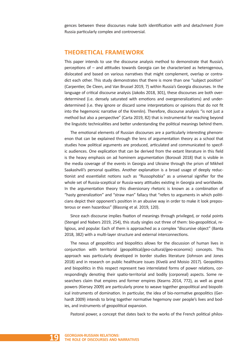gences between these discourses make both identification *with* and detachment *from* Russia particularly complex and controversial.

# **THEORETICAL FRAMEWORK**

This paper intends to use the discourse analysis method to demonstrate that Russia's perceptions of – and attitudes towards Georgia can be characterized as heterogenous, dislocated and based on various narratives that might complement, overlap or contradict each other. This study demonstrates that there is more than one "subject position" (Carpentier, De Cleen, and Van Brussel 2019, 7) within Russia's Georgia discourses. In the language of critical discourse analysis (Jakobs 2018, 301), these discourses are both overdetermined (i.e. densely saturated with emotions and overgeneralizations) and underdetermined (i.e. they ignore or discard some interpretations or opinions that do not fit into the hegemonic narrative of the Kremlin). Therefore, discourse analysis "is not just a method but also a perspective" (Carta 2019, 82) that is instrumental for reaching beyond the linguistic technicalities and better understanding the political meanings behind them.

The emotional elements of Russian discourses are a particularly interesting phenomenon that can be explained through the lens of argumentation theory as a school that studies how political arguments are produced, articulated and communicated to specific audiences. One explication that can be derived from the extant literature in this field is the heavy emphasis on ad hominem argumentation (Borovali 2018) that is visible in the media coverage of the events in Georgia and Ukraine through the prism of Mikheil Saakashvili's personal qualities. Another explanation is a broad usage of deeply reductionist and essentialist notions such as "Russophobia" as a universal signifier for the whole set of Russia-sceptical or Russia-wary attitudes existing in Georgia and worldwide. In the argumentation theory this diversionary rhetoric is known as a combination of "hasty generalization" and "straw man" fallacy that "refers to arguments in which politicians depict their opponent's position in an abusive way in order to make it look preposterous or even hazardous" (Blassnig et al. 2019, 120).

Since each discourse implies fixation of meanings through privileged, or nodal points (Stengel and Nabers 2019, 254), this study singles out three of them: bio-geopolitical, religious, and popular. Each of them is approached as a complex "discursive object" (Banta 2018, 382) with a multi-layer structure and external interconnections.

The nexus of geopolitics and biopolitics allows for the discussion of human lives in conjunction with territorial (geopolitical/geo-cultural/geo-economic) concepts. This approach was particularly developed in border studies literature (Johnson and Jones 2018) and in research on public healthcare issues (Kivelä and Moisio 2017). Geopolitics and biopolitics in this respect represent two interrelated forms of power relations, correspondingly denoting their spatio-territorial and bodily (corporeal) aspects. Some researchers claim that empires and former empires (Kearns 2014, 772), as well as great powers (Kiersey 2009) are particularly prone to weave together geopolitical and biopolitical instruments of domination. In particular, the idea of bio-normative geopolitics (Gerhardt 2009) intends to bring together normative hegemony over people's lives and bodies, and instruments of geopolitical expansion.

Pastoral power, a concept that dates back to the works of the French political philos-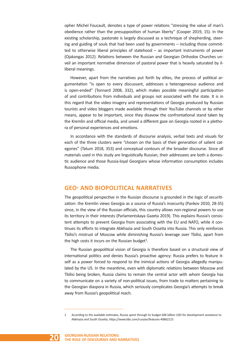opher Michel Foucault, denotes a type of power relations "stressing the value of man's obedience rather than the presupposition of human liberty" (Cooper 2019, 15). In the existing scholarship, pastorate is largely discussed as a technique of shepherding, steering and guiding of souls that had been used by governments – including those committed to otherwise liberal principles of statehood – as important instruments of power (Ojakangas 2012). Relations between the Russian and Georgian Orthodox Churches unveil an important normative dimension of pastoral power that is heavily saturated by illiberal meanings.

However, apart from the narratives put forth by elites, the process of political argumentation "is open to every discussant, addresses a heterogeneous audience and is open-ended" (Tonnard 2008, 332), which makes possible meaningful participation of and contributions from individuals and groups not associated with the state. It is in this regard that the video imagery and representations of Georgia produced by Russian tourists and video bloggers made available through their YouTube channels or by other means, appear to be important, since they disavow the confrontational stand taken by the Kremlin and official media, and unveil a different gaze on Georgia rooted in a plethora of personal experiences and emotions.

In accordance with the standards of discourse analysis, verbal texts and visuals for each of the three clusters were "chosen on the basis of their generation of salient categories" (Tatum 2018, 353) and conceptual contours of the broader discourse. Since all materials used in this study are linguistically Russian, their addressees are both a domestic audience and those Russia-loyal Georgians whose information consumption includes Russophone media.

# **GEO- AND BIOPOLITICAL NARRATIVES**

The geopolitical perspective in the Russian discourse is grounded in the logic of securitization: the Kremlin views Georgia as a source of Russia's insecurity (Pankov 2010, 28-35) since, in the view of the Russian officials, this country allows non-regional powers to use its territory in their interests (Parlamentskaya Gazeta 2019). This explains Russia's consistent attempts to prevent Georgia from associating with the EU and NATO, while it continues its efforts to integrate Abkhazia and South Ossetia into Russia. This only reinforces Tbilisi's mistrust of Moscow while diminishing Russia's leverage over Tbilisi, apart from the high costs it incurs on the Russian budget $1$ .

The Russian geopolitical vision of Georgia is therefore based on a structural view of international politics and denies Russia's proactive agency: Russia prefers to feature itself as a power forced to respond to the inimical actions of Georgia allegedly manipulated by the US. In the meantime, even with diplomatic relations between Moscow and Tbilisi being broken, Russia claims to remain the central actor with whom Georgia has to communicate on a variety of non-political issues, from trade to matters pertaining to the Georgian diaspora in Russia, which seriously complicates Georgia's attempts to break away from Russia's geopolitical reach.

<sup>1</sup> According to the available estimates, Russia spent through its budget 606 billion USD for development assistance to Abkhazia and South Ossetia, https://www.bbc.com/russian/features-40862115

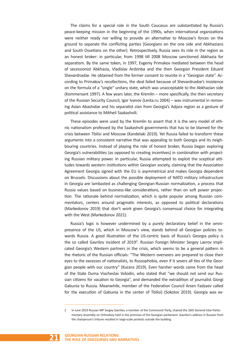The claims for a special role in the South Caucasus are substantiated by Russia's peace-keeping mission in the beginning of the 1990s, when international organizations were neither ready nor willing to provide an alternative to Moscow's forces on the ground to separate the conflicting parties (Georgians on the one side and Abkhazians and South Ossetians on the other). Retrospectively, Russia sees its role in the region as an honest broker: in particular, from 1998 till 2008 Moscow sanctioned Abkhazia for separatism. By the same token, in 1997, Evgeniy Primakov mediated between the head of secessionist Abkhazia, Vladislav Ardzinba and the then Georgian President Eduard Shevardnadze. He obtained from the former consent to reunite in a "Georgian state". According to Primakov's recollections, the deal failed because of Shevardnadze's insistence on the formula of a "single" unitary state, which was unacceptable to the Abkhazian side (Kommersant 1997). A few years later, the Kremlin – more specifically, the then secretary of the Russian Security Council, Igor Ivanov (Lenta.ru 2004) – was instrumental in removing Aslan Abashidze and his separatist clan from Georgia's Adjara region as a gesture of political assistance to Mikheil Saakashvili.

These episodes were used by the Kremlin to assert that it is the very model of ethnic nationalism professed by the Saakashvili governments that has to be blamed for the crisis between Tbilisi and Moscow (Kandelaki 2019). Yet Russia failed to transform these arguments into a consistent narrative that was appealing to both Georgia and its neighbouring countries. Instead of playing the role of honest broker, Russia began exploring Georgia's vulnerabilities (as opposed to creating incentives) in combination with projecting Russian military power. In particular, Russia attempted to exploit the sceptical attitudes towards western institutions within Georgian society, claiming that the Association Agreement Georgia signed with the EU is asymmetrical and makes Georgia dependent on Brussels. Discussions about the possible deployment of NATO military infrastructure in Georgia are lambasted as challenging Georgian-Russian normalization, a process that Russia values based on business-like considerations, rather than on soft power projection. The rationale behind normalization, which is quite popular among Russian commentators, centers around pragmatic interests, as opposed to political declarations (Markedonov 2019) that don't work given Georgia's consensual choice for integrating with the West (Markedonov 2021).

Russia's logic is however undermined by a purely declaratory belief in the omnipresence of the US, which in Moscow's view, stands behind all Georgian policies towards Russia. A good illustration of the US-centric basis of Russia's Georgia policy is the so called Gavrilov incident of 2019<sup>2</sup>. Russian Foreign Minister Sergey Lavrov implicated Georgia's Western partners in the crisis, which seems to be a general pattern in the rhetoric of the Russian officials: "The Western overseers are prepared to close their eyes to the excesses of nationalists, to Russophobia, even if it severs all ties of the Georgian people with our country" (Kucera 2019). Even harsher words came from the head of the State Duma Viacheslav Volodin, who stated that "we should not send our Russian citizens for vacation to Georgia", and demanded the extradition of journalist Giorgi Gabunia to Russia. Meanwhile, member of the Federation Council Arsen Fadzaev called for the execution of Gabunia in the center of Tbilisi) (Sokolov 2019). Georgia was ex-

<sup>2</sup> In June 2019 Russian MP Sergey Gavrilov, a member of the Communist Party, chaired the 26th General Inter-Parliamentary Assembly on Orthodoxy held in the premises of the Georgian parliament. Gavrilov's address in Russian from the chairperson's tribune resulted in large-scale protests outside the building.

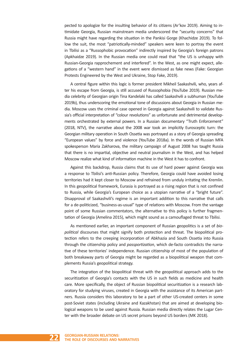pected to apologize for the insulting behavior of its citizens (Ar'kov 2019). Aiming to intimidate Georgia, Russian mainstream media underscored the "security concerns" that Russia might have regarding the situation in the Pankisi Gorge (Khachidze 2019). To follow the suit, the most "patriotically-minded" speakers were keen to portray the event in Tbilisi as a "Russophobic provocation" indirectly inspired by Georgia's foreign patrons (Apkhaidze 2019). In the Russian media one could read that "the US is unhappy with Russian-Georgia rapprochement and interfered". In the West, as one might expect, allegations of a "western hand" in the event were dismissed as fake news (Fake: Georgian Protests Engineered by the West and Ukraine, Stop Fake, 2019).

A central figure within this logic is former president Mikheil Saakashvili, who, years after his escape from Georgia, is still accused of Russophobia (YouTube 2019). Russian media celebrity of Georgian origin Tina Kandelaki has called Saakashvili a subhuman (YouTube 2019b), thus underscoring the emotional tone of discussions about Georgia in Russian media. Moscow uses the criminal case opened in Georgia against Saakashvili to validate Russia's official interpretation of "colour revolutions" as unfortunate and detrimental developments orchestrated by external powers. In a Russian documentary "Truth Enforcement" (2018, NTV), the narrative about the 2008 war took an implicitly Eurosceptic turn: the Georgian military operation in South Ossetia was portrayed as a story of Georgia spreading "European values" by force and violence (YouTube 2018a). In the words of Russian MFA spokesperson Maria Zakharova, the military campaign of August 2008 has taught Russia that there is no impartial, objective and neutral journalism in the West, and has helped Moscow realize what kind of information machine in the West it has to confront.

Against this backdrop, Russia claims that its use of hard power against Georgia was a response to Tbilisi's anti-Russian policy. Therefore, Georgia could have avoided losing territories had it kept closer to Moscow and refrained from unduly irritating the Kremlin. In this geopolitical framework, Eurasia is portrayed as a rising region that is not confined to Russia, while Georgia's European choice as a utopian narrative of a "bright future". Disapproval of Saakashvili's regime is an important addition to this narrative that calls for a de-politicized, "business-as-usual" type of relations with Moscow. From the vantage point of some Russian commentators, the alternative to this policy is further fragmentation of Georgia (Amelina 2015), which might sound as a camouflaged threat to Tbilisi.

As mentioned earlier, an important component of Russian geopolitics is a set of *biopolitical* discourses that might signify both protection and threat. The biopolitical protection refers to the creeping incorporation of Abkhazia and South Ossetia into Russia through the citizenship policy and *passportization*, which de-facto contradicts the narrative of these territories' independence. Russian citizenship of most of the population of both breakaway parts of Georgia might be regarded as a biopolitical weapon that complements Russia's geopolitical strategy.

The integration of the biopolitical threat with the geopolitical approach adds to the securitization of Georgia's contacts with the US in such fields as medicine and health care. More specifically, the object of Russian biopolitical securitization is a research laboratory for studying viruses, created in Georgia with the assistance of its American partners. Russia considers this laboratory to be a part of other US-created centers in some post-Soviet states (including Ukraine and Kazakhstan) that are aimed at developing biological weapons to be used against Russia. Russian media directly relates the Lugar Center with the broader debate on US secret prisons beyond US borders (MK 2018).

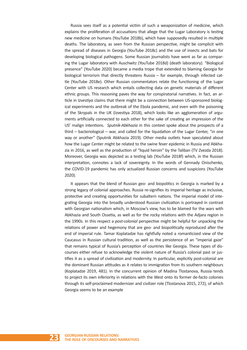Russia sees itself as a potential victim of such a weaponization of medicine, which explains the proliferation of accusations that allege that the Lugar Laboratory is testing new medicine on humans (YouTube 2018b), which have supposedly resulted in multiple deaths. The laboratory, as seen from the Russian perspective, might be complicit with the spread of diseases in Georgia (YouTube 2018c) and the use of insects and bats for developing biological pathogens. Some Russian journalists have went as far as comparing the Lugar laboratory with Auschwitz (YouTube 2018d) (death laboratory). "Biological presence" (YouTube 2020) became a media trope that extended to blaming Georgia for biological terrorism that directly threatens Russia – for example, through infected cattle (YouTube 2018e). Other Russian commentators relate the functioning of the Lugar Center with US research which entails collecting data on genetic materials of different ethnic groups. This reasoning paves the way for conspiratorial narratives. In fact, an article in *Izvestiya* claims that there might be a connection between US-sponsored biological experiments and the outbreak of the Ebola pandemic, and even with the poisoning of the Skrypals in the UK (Izvestiya 2018), which looks like an agglomeration of arguments artificially connected to each other for the sake of creating an impression of the US' malign intentions. *Sputnik-Abkhazia* in this context spoke about the prospects of a third – bacteriological – war, and called for the liquidation of the Lugar Center, "in one way or another" (Sputnik Abkhazia 2019). Other media outlets have speculated about how the Lugar Center might be related to the swine fever epidemic in Russia and Abkhazia in 2016, as well as the production of "liquid heroin" by the Taliban (TV Zvezda 2018). Moreover, Georgia was depicted as a testing lab (YouTube 2018f) which, in the Russian interpretation, connotes a lack of sovereignty. In the words of Gennady Onischenko, the COVID-19 pandemic has only actualized Russian concerns and suspicions (YouTube 2020).

It appears that the blend of Russian geo- and biopolitics in Georgia is marked by a strong legacy of colonial approaches. Russia re-signifies its imperial heritage as inclusive, protective and creating opportunities for subaltern nations. The imperial model of integrating Georgia into the broadly understood Russian civilization is portrayed in contrast with Georgian nationalism which, in Moscow's view, has to be blamed for the wars with Abkhazia and South Ossetia, as well as for the rocky relations with the Adjara region in the 1990s. In this respect a *post-colonial* perspective might be helpful for unpacking the relations of power and hegemony that are geo- and biopolitically reproduced after the end of imperial rule. Tamar Koplatadze has rightfully noted a romanticized view of the Caucasus in Russian cultural tradition, as well as the persistence of an "imperial gaze" that remains typical of Russia's perception of countries like Georgia. These types of discourses either refuse to acknowledge the violent nature of Russia's colonial past or justifies it as a spread of civilization and modernity. In particular, explicitly post-colonial are the dominant Russian attitudes as it relates to immigration from its southern neighbours (Koplatadze 2019, 481). In the concurrent opinion of Madina Tlostanova, Russia tends to project its own inferiority in relations with the West onto its former de-facto colonies through its self-proclaimed modernizer and civilizer role (Tlostanova 2015, 272), of which Georgia seems to be an example

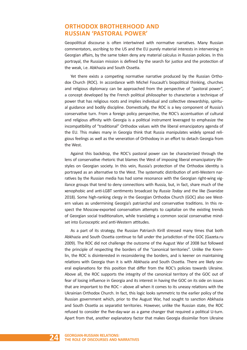# **ORTHODOX BROTHERHOOD AND RUSSIAN 'PASTORAL POWER'**

Geopolitical discourse is often intertwined with normative narratives. Many Russian commentators, ascribing to the US and the EU purely material interests in intervening in Georgian affairs, by the same token deny any material calculus in Russian policies. In this portrayal, the Russian mission is defined by the search for justice and the protection of the weak, i.e. Abkhazia and South Ossetia.

Yet there exists a competing normative narrative produced by the Russian Orthodox Church (ROC). In accordance with Michel Foucault's biopolitical thinking, churches and religious diplomacy can be approached from the perspective of "pastoral power", a concept developed by the French political philosopher to characterize a technique of power that has religious roots and implies individual and collective stewardship, spiritual guidance and bodily discipline. Domestically, the ROC is a key component of Russia's conservative turn. From a foreign policy perspective, the ROC's accentuation of cultural and religious affinity with Georgia is a political instrument leveraged to emphasize the incompatibility of "traditional" Orthodox values with the liberal emancipatory agenda of the EU. This makes many in Georgia think that Russia manipulates widely spread religious feelings as well as the veneration of Orthodoxy in an effort to detach Georgia from the West.

Against this backdrop, the ROC's pastoral power can be characterized through the lens of conservative rhetoric that blames the West of imposing liberal emancipatory lifestyles on Georgian society. In this vein, Russia's protection of the Orthodox identity is portrayed as an alternative to the West. The systematic distribution of anti-Western narratives by the Russian media has had some resonance with the Georgian right-wing vigilance groups that tend to deny connections with Russia, but, in fact, share much of the xenophobic and anti-LGBT sentiments broadcast by *Russia Today* and the like (Svanidze 2018). Some high-ranking clergy in the Georgian Orthodox Church (GOC) also see Western values as undermining Georgia's patriarchal and conservative traditions. In this respect the Moscow-exported conservatism attempts to capitalize on the existing trends of Georgian social traditionalism, while translating a common social conservative mindset into Eurosceptic and anti-Western attitudes.

As a part of its strategy, the Russian Patriarch Kirill stressed many times that both Abkhazia and South Ossetia continue to fall under the jurisdiction of the GOC (Gazeta.ru 2009). The ROC did not challenge the outcome of the August War of 2008 but followed the principle of respecting the borders of the "canonical territories". Unlike the Kremlin, the ROC is disinterested in reconsidering the borders, and is keener on maintaining relations with Georgia than it is with Abkhazia and South Ossetia. There are likely several explanations for this position that differ from the ROC's policies towards Ukraine. Above all, the ROC supports the integrity of the canonical territory of the GOC out of fear of losing influence in Georgia and its interest in having the GOC on its side on issues that are important to the ROC – above all when it comes to its uneasy relations with the Ukrainian Orthodox Church. In fact, this logic looks symmetric to the earlier policy of the Russian government which, prior to the August War, had sought to sanction Abkhazia and South Ossetia as separatist territories. However, unlike the Russian state, the ROC refused to consider the five-day-war as a game changer that required a political U-turn. Apart from that, another explanatory factor that makes Georgia dissimilar from Ukraine

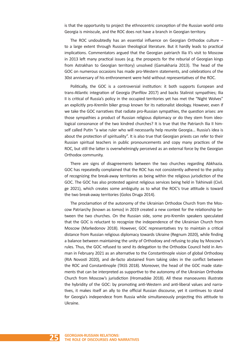is that the opportunity to project the ethnocentric conception of the Russian world onto Georgia is miniscule, and the ROC does not have a branch in Georgian territory.

The ROC undoubtedly has an essential influence on Georgian Orthodox culture – to a large extent through Russian theological literature. But it hardly leads to practical implications. Commentators argued that the Georgian patriarch Ilia II's visit to Moscow in 2013 left many practical issues (e.g. the prospects for the reburial of Georgian kings from Astrakhan to Georgian territory) unsolved (Gamakharia 2013). The head of the GOC on numerous occasions has made pro-Western statements, and celebrations of the 30st anniversary of his enthronement were held without representatives of the ROC.

Politically, the GOC is a controversial institution: it both supports European and trans-Atlantic integration of Georgia (Panfilov 2017) and backs Stalinist sympathies; Ilia II is critical of Russia's policy in the occupied territories yet has met the "Night Wolves" an explicitly pro-Kremlin biker group known for its nationalist ideology. However, even if we take the GOC narratives that radiate pro-Russian sympathies, the question arises: are those sympathies a product of Russian religious diplomacy or do they stem from ideological consonance of the two kindred churches? It is true that the Patriarch Ilia II himself called Putin "a wise ruler who will necessarily help reunite Georgia... Russia's idea is about the protection of spirituality". It is also true that Georgian priests can refer to their Russian spiritual teachers in public pronouncements and copy many practices of the ROC, but still the latter is overwhelmingly perceived as an external force by the Georgian Orthodox community.

There are signs of disagreements between the two churches regarding Abkhazia. GOC has repeatedly complained that the ROC has not consistently adhered to the policy of recognizing the break-away territories as being within the religious jurisdiction of the GOC. The GOC has also protested against religious services being held in Tskhinvali (Civil. ge 2021), which creates some ambiguity as to what the ROC's true attitude is toward the two break-away territories (Golos Druga 2014).

The proclamation of the autonomy of the Ukrainian Orthodox Church from the Moscow Patriarchy (known as *tomos*) in 2019 created a new context for the relationship between the two churches. On the Russian side, some pro-Kremlin speakers speculated that the GOC is reluctant to recognize the independence of the Ukrainian Church from Moscow (Markedonov 2018). However, GOC representatives try to maintain a critical distance from Russian religious diplomacy towards Ukraine (Regnum 2020), while finding a balance between maintaining the unity of Orthodoxy and refusing to play by Moscow's rules. Thus, the GOC refused to send its delegation to the Orthodox Council held in Amman in February 2021 as an alternative to the Constantinople vision of global Orthodoxy (RIA Novosti 2020), and de-facto abstained from taking sides in the conflict between the ROC and Constantinople (TASS 2018). Moreover, the head of the GOC made statements that can be interpreted as supportive to the autonomy of the Ukrainian Orthodox Church from Moscow's jurisdiction (Hromadske 2018). All these manoeuvres illustrate the hybridity of the GOC: by promoting anti-Western and anti-liberal values and narratives, it makes itself an ally to the official Russian discourse, yet it continues to stand for Georgia's independece from Russia while simultaneously projecting this attitude to Ukraine.

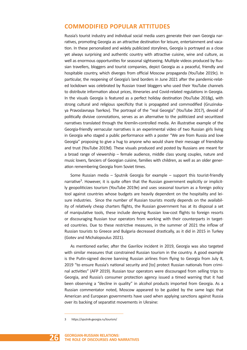# **COMMODIFIED POPULAR ATTITUDES**

Russia's tourist industry and individual social media users generate their own Georgia narratives, promoting Georgia as an attractive destination for leisure, entertainment and vacation. In these personalized and widely publicized storylines, Georgia is portrayed as a close yet always surprising and authentic country with attractive cuisine, wine and culture, as well as enormous opportunities for seasonal sightseeing. Multiple videos produced by Russian travellers, bloggers and tourist companies, depict Georgia as a peaceful, friendly and hospitable country, which diverges from official Moscow propaganda (YouTube 2019c). In particular, the reopening of Georgia's land borders in June 2021 after the pandemic-related lockdown was celebrated by Russian travel bloggers who used their YouTube channels to distribute information about prices, itineraries and Covid-related regulations in Georgia. In the visuals Georgia is featured as a perfect holiday destination (YouTube 2018g), with strong cultural and religious specificity that is propagated and commodified (Gruzinskaya Pravoslavnaya Tserkov). The portrayal of the "real Georgia" (YouTube 2017), devoid of politically divisive connotations, serves as an alternative to the politicized and securitized narratives translated through the Kremlin-controlled media. An illustrative example of the Georgia-friendly vernacular narratives is an experimental video of two Russian girls living in Georgia who staged a public performance with a poster "We are from Russia and love Georgia" proposing to give a hug to anyone who would share their message of friendship and trust (YouTube 2019d). These visuals produced and posted by Russians are meant for a broad range of viewership – female audience, middle class young couples, nature and music lovers, fanciers of Georgian cuisine, families with children, as well as an older generation remembering Georgia from Soviet times.

Some Russian media – Sputnik Georgia for example – support this tourist-friendly narrative<sup>3</sup>. However, it is quite often that the Russian government explicitly or implicitly geopoliticizes tourism (YouTube 2019e) and uses seasonal tourism as a foreign policy tool against countries whose budgets are heavily dependent on the hospitality and leisure industries. Since the number of Russian tourists mostly depends on the availability of relatively cheap charters flights, the Russian government has at its disposal a set of manipulative tools, these include denying Russian low-cost flights to foreign resorts or discouraging Russian tour operators from working with their counterparts in targeted countries. Due to these restrictive measures, in the summer of 2021 the inflow of Russian tourists to Greece and Bulgaria decreased drastically, as it did in 2015 in Turkey (Gotev and Michalopoulus 2021).

As mentioned earlier, after the Gavrilov incident in 2019, Georgia was also targeted with similar measures that constrained Russian tourism in the country. A good example is the Putin-signed decree banning Russian airlines from flying to Georgia from July 8, 2019 "to ensure Russia's national security and [to] protect Russian nationals from criminal activities" (AFP 2019). Russian tour operators were discouraged from selling trips to Georgia, and Russia's consumer protection agency issued a timed warning that it had been observing a "decline in quality" in alcohol products imported from Georgia. As a Russian commentator noted, Moscow appeared to be guided by the same logic that American and European governments have used when applying sanctions against Russia over its backing of separatist movements in Ukraine:

<sup>3</sup> https://sputnik-georgia.ru/tourism/

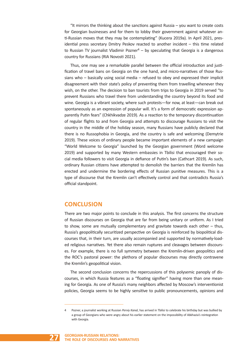"It mirrors the thinking about the sanctions against Russia – you want to create costs for Georgian businesses and for them to lobby their government against whatever anti-Russian moves that they may be contemplating" (Kucera 2019a). In April 2021, presidential press secretary Dmitry Peskov reacted to another incident – this time related to Russian TV journalist Vladimir Pozner $4 - by$  speculating that Georgia is a dangerous country for Russians (RIA Novosti 2021).

Thus, one may see a remarkable parallel between the official introduction and justification of travel bans on Georgia on the one hand, and micro-narratives of those Russians who – basically using social media – refused to obey and expressed their implicit disagreement with their state's policy of preventing them from travelling whenever they wish, on the other. The decision to ban tourists from trips to Georgia in 2019 served "to prevent Russians who travel there from understanding the country beyond its food and wine. Georgia is a vibrant society, where such protests—for now, at least—can break out spontaneously as an expression of popular will. It's a form of democratic expression apparently Putin fears" (Chkhikvadze 2019). As a reaction to the temporary discontinuation of regular flights to and from Georgia and attempts to discourage Russians to visit the country in the middle of the holiday season, many Russians have publicly declared that there is no Russophobia in Georgia, and the country is safe and welcoming (Demytrie 2019). These voices of ordinary people became important elements of a new campaign "World Welcome to Georgia" launched by the Georgian government (Word welcome 2019) and supported by many Western embassies in Tbilisi that encouraged their social media followers to visit Georgia in defiance of Putin's ban (Cathcart 2019). As such, ordinary Russian citizens have attempted to demolish the barriers that the Kremlin has erected and undermine the bordering effects of Russian punitive measures. This is a type of discourse that the Kremlin can't effectively control and that contradicts Russia's official standpoint.

# **CONCLUSION**

There are two major points to conclude in this analysis. The first concerns the structure of Russian discourses on Georgia that are far from being unitary or uniform. As I tried to show, some are mutually complementary and gravitate towards each other – thus, Russia's geopolitically securitized perspective on Georgia is reinforced by biopolitical discourses that, in their turn, are usually accompanied and supported by normatively-loaded religious narratives. Yet there also remain ruptures and cleavages between discourses. For example, there is no full symmetry between the Kremlin-driven geopolitics and the ROC's pastoral power: the plethora of popular discourses may directly contravene the Kremlin's geopolitical vision.

The second conclusion concerns the repercussions of this polysemic panoply of discourses, in which Russia features as a "floating signifier" having more than one meaning for Georgia. As one of Russia's many neighbors affected by Moscow's interventionist policies, Georgia seems to be highly sensitive to public pronouncements, opinions and

<sup>4</sup> Pozner, a journalist working at Russian *Perviy Kanal*, has arrived in Tbilisi to celebrate his birthday but was bullied by a group of Georgians who were angry about his earlier statement on the impossibility of Abkhazia's reintegration with Georgia.

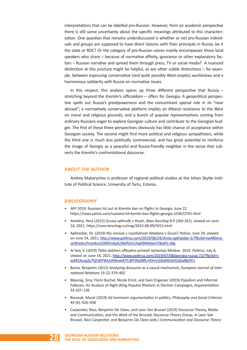interpretations that can be labelled pro-Russian. However, from an academic perspective there is still some uncertainty about the specific meanings attributed to this characterization. One question that remains underdiscussed is whether or not pro-Russian individuals and groups are supposed to have direct liaisons with their principals in Russia, be it the state or ROC? Or the category of pro-Russian voices mainly encompasses those local speakers who share – because of normative affinity, ignorance or other explanatory factors – Russian narrative and spread them through press, TV or social media? A nuanced distinction at this juncture might be helpful, as are other subtle distinctions – for example, between espousing conservative (and quite possibly West-sceptic) worldviews and a harmonious solidarity with Russia on normative issues.

In this respect, this analysis opens up three different perspective that Russia  $$ stretching beyond the Kremlin's officialdom – offers for Georgia. A geopolitical perspective spells out Russia's *greatpowerness* and the concomitant special role in its "near abroad"; a normatively conservative platform implies an illiberal resistance to the West on moral and religious grounds; and a bunch of popular representations coming from ordinary Russians eager to explore Georgian culture and contribute to the Georgian budget. The first of these three perspectives obviously has little chance of acceptance within Georgian society. The second might find more political and religious sympathizers, while the third one is much less politically controversial, and has great potential to reinforce the image of Georgia as a peaceful and Russia-friendly neighbor in the sense that subverts the Kremlin's confrontational discourse.

#### *ABOUT THE AUTHOR*

Andrey Makarychev is professor of regional political studies at the Johan Skytte Institute of Political Science, University of Tartu, Estonia.

#### *BIBLIOGRAPHY*

- AFP 2019: Russians hit out at Kremlin ban on flights to Georgia. June 22 https://news.yahoo.com/russians-hit-kemlin-ban-flights-georgia-103622791.html
- Amelina, Yana (2015) Gruzia vykhodit v tirazh, *Noev Kovcheg* 8-9 (260-261), viewed on June 14, 2021, https://noev-kovcheg.ru/mag/2015-08-09/5015.html
- Apkhaidze, Sh. (2019) Kto vinovat v rusofobnom Maidane v Gruzii? *Polirus*, June 24, viewed on June 24, 2021, http://www.politrus.com/2019/06/24/shota-apkhaidze-5/?fbclid=IwAR0mesoWIaAccPnon6unCttBTmApSL90eflzHz1XqK94tMyeUT8oKFj-zNg
- Ar'kov, V. (2019) Tbilisi dolzhen ofitsialno prinesti izvineniya Moskve. 2019. *Politrus*, July 8, viewed on June 14, 2021, http://www.politrus.com/2019/07/08/georgia-russia-72/?fbclid=IwAR1KsupZy7Q5dtPWULWBrweKTCdPO9xSBfk-HOmrj18siH6OxH2dSaBkDYU
- Banta, Benjamin (2012) Analysing discourse as a causal mechanism, *European Journal of International Relations* 19 (2) 379–402
- Blassnig, Sina; Florin Buchel, Nicole Ernst, and Sven Engesser (2019) Populism and Informal Fallacies: An Analysis of Right-Wing Populist Rhetoric in Election Campaigns, *Argumentation* 33:107–136
- Borovali, Murat (2019) Ad hominem argumentation in politics, *Philosophy and Social Criticism* 44 (4), 426–436
- Carpentier, Nico; Benjamin De Cleen, and Leen Van Brussel (2019) Discourse Theory, Media and Communication, and the Work of the Brussels Discourse Theory Group, in Leen Van Brussel, Nico Carpentier, and Benjamin De Cleen (eds.) *Communication and Discourse Theory*

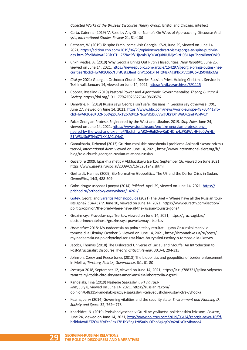*Collected Works of the Brussels Discourse Theory Group*. Bristol and Chicago: intellect

- Carta, Caterina (2019) "A Rose by Any Other Name": On Ways of Approaching Discourse Analysis, *International Studies Review* 21, 81–106
- Cathcart, W. (2019) To spite Putin, come visit Georgia. *CNN*, June 29, viewed on June 14, 2021, https://edition.cnn.com/2019/06/29/opinions/cathcart-visit-georgia-to-spite-putin/index.html?fbclid=IwAR2Ok3TH\_2ZZKq5fYHjamkCIyRCAQ0BRUMjo9-zH081AprEhot4iBoeObk0
- Chkhikvadze, A. (2019) Why Georgia Brings Out Putin's Insecurities. *New Republic*, June 25, viewed on June 14, 2021, https://newrepublic.com/article/154297/georgia-brings-putins-insecurities?fbclid=IwAR1Ob57HJnJGzts3IenHqnPC55DXH-Ht04zX4gsPBdXVOxRGoxQSX4bbcMg
- *Civil.ge* 2021: Georgian Orthodox Church Decries Russian Priest Holding Christmas Service in Tskhinvali. January 14, viewed on June 14, 2021, https://civil.ge/archives/391115
- Cooper, Rosalind (2019) Pastoral Power and Algorithmic Governmentality, *Theory, Culture & Society.* https://doi.org/10.1177%2F0263276419860576
- Demytrie, R. (2019) Russia says Georgia isn't safe. Russians in Georgia say otherwise. *BBC*, June 27, viewed on June 14, 2021, https://www.bbc.com/news/world-europe-48760441?fbclid=IwAR2Ce6KU2Np5tVppCAx1yzxA041NNcj9M5bu6VwgUkzYXhWuOKqmFWxKy1Y
- Fake: Georgian Protests Engineered by the West and Ukraine. 2019. *Stop Fake*, June 24, viewed on June 14, 2021, https://www.stopfake.org/en/fake-georgian-protests-engineered-by-the-west-and-ukraine/?fbclid=IwAR2w9uE2vwRuDHC\_p4zPRdWgHH6q0WrHL-51jWSUlSoRTNnXTLXKtMCLOJeQ
- Gamakharia, Dzhemal (2013) Gruzino-rossiiskie otnoshenia i problema Abkhazii skovoz prizmu tserkvi, *International Alert*, viewed on June 14, 2021, https://www.international-alert.org/fr/ blog/role-church-georgian-russian-relations-russian
- *Gazeta.ru* 2009: Eparkhia metit v Abkhazskuyu tserkov, September 16, viewed on June 2021, https://www.gazeta.ru/social/2009/09/16/3261242.shtml
- Gerhardt, Hannes (2009) Bio-Normative Geopolitics: The US and the Darfur Crisis in Sudan, *Geopolitics*, 14:3, 488-509
- Golos druga: uslyshat i ponyat (2014) *Prikhod*, April 29, viewed on June 14, 2021, https:// prichod.ru/orthodoxy-everywhere/14261/
- Gotev, Georgi and Sarantis Michalopoulos (2021) The Brief Where have all the Russian tourists gone? *EURACTIV*, June 10, viewed on June 14, 2021, https://www.euractiv.com/section/ politics/opinion/the-brief-where-have-all-the-russian-tourists-gone/
- Gruzinskaya Pravoslavnaya Tserkov, viewed on June 14, 2021, https://gruziyagid.ru/ dostoprimechatelnosti/gruzinskaya-pravoslavnaya-tserkov
- *Hromadske* 2018: My nadeemsia na polozhitelniy rezultat glava Gruzinskoi tserkvi o tomose dlia Ukrainy. October 6, viewed on June 14, 2021, https://hromadske.ua/ru/posts/ my-nadeemsia-na-polozhytelnyi-rezultat-hlava-hruzynskoi-tserkvy-o-tomose-dlia-ukrayny
- Jacobs, Thomas (2018) The Dislocated Universe of Laclau and Mouffe: An Introduction to Post-Structuralist Discourse Theory, *Critical Review*, 30:3-4, 294-315
- Johnson, Corey and Reece Jones (2018) The biopolitics and geopolitics of border enforcement in Melilla, *Territory, Politics, Governance*, 6:1, 61-80
- *Izvestiya* 2018, September 12, viewed on June 14, 2021, https://iz.ru/788321/galina-volynetc/ zarazitelnyi-tcekh-chto-skryvaet-amerikanskaia-laboratoriia-v-gruzii
- Kandelaki, Tina (2019) Nasledie Saakashvili, *RT na russkom*, July 8, viewed on June 14, 2021, https://russian.rt.com/ opinion/648315-kandelaki-gruziya-saakashvili-televedushchii-rustavi-dva-vyhodka
- Kearns, Jerry (2014) Governing vitalities and the security state, *Environment and Planning D: Society and Space* 32, 762– 778
- Khachidze, N. (2019) Proiskhodyaschee v Gruzii ne yavliaetsa politicheskim krizisom. *Politrus*, June 24, viewed on June 14, 2021, http://www.politrus.com/2019/06/24/georgia-news-10/?fbclid=IwAR2TZOU3FyEcpFpx17B1hY5ng1z85u0su0Tno6g4qXo9n2nDxCitMfvAqe4

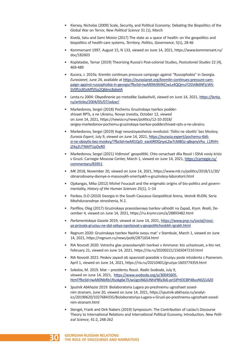- Kiersey, Nicholas (2009) Scale, Security, and Political Economy: Debating the Biopolitics of the Global War on Terror, *New Political Science* 31 (1), March
- Kivelä, Satu and Sami Moisio (2017) The state as a space of health: on the geopolitics and biopolitics of health-care systems, *Territory, Politics, Governance*, 5(1), 28-46
- Kommersant 1997, August 15, N 133, viewed on June 14, 2021, https://www.kommersant.ru/ doc/182603
- Koplatadze, Tamar (2019) Theorizing Russia's Post-colonial Studies, *Postcolonial Studies* 22 (4), 469-489
- Kucera, J. 2019a. Kremlin continues pressure campaign against "Russophobia" in Georgia. *Eurasianet*, June 24, available at https://eurasianet.org/kremlin-continues-pressure-campaign-against-russophobia-in-georgia?fbclid=IwAR0tk9XXKCiwLx4QQmuY2GVdk6NFjcWS-SV0fUc85sMf5l5a2Q6bnc8abelA
- Lenta.ru 2004: Obyedinenie po metodike Saakashvili, viewed on June 14, 2021, https://lenta. ru/articles/2004/05/07/adzar/
- Markedonov, Sergei (2018) Pochemu Gruzinskaya tserkov podderzhivaet RPTs, a ne Ukrainu, Novye Izvestia, October 12, viewed on June 14, 2021, https://newizv.ru/news/politics/12-10-2018/ sergey-markedonov-pochemu-gruzinskaya-tserkov-podderzhivaet-rpts-a-ne-ukrainu
- Markedonov, Sergei (2019) Itogi nesostoyavsheisia revoliutsii: Tbilisi ne oboitis' bez Moskvy. *Eurasia Expert*, July 9, viewed on June 14, 2021, https://eurasia.expert/pochemu-tbilisi-ne-oboytis-bez-moskvy/?fbclid=IwAR1QzD\_eac6IRDQnyxLZw7cM8Gz-qBxpnyVhu\_L1RVHjZ4q2UTNMTUpDyR0
- Markedonov, Sergei (2021) Vidimost' geopolitiki. Chto oznachaet dlia Rossii i SShA noviy kriziz v Gruzii. Carnegie Moscow Center, March 1, viewed on June 14, 2021, https://carnegie.ru/ commentary/83951
- *MK* 2018, November 20, viewed on June 14, 2021, https://www.mk.ru/politics/2018/11/20/ obnarodovany-dannye-o-massovykh-smertyakh-v-gruzinskoy-laboratorii.html
- Ojakangas, Mika (2012) Michel Foucault and the enigmatic origins of bio-politics and governmentality, *History of the Human Sciences* 25(1), 1–14
- Pankov, D.O (2010) Georgia in the South Caucasus Geopolitical Arena, *Vestnik RUDN,* Seria Mezhdunarodnye otnoshenia, N 2.
- Panfilov, Oleg (2017) Gruzinskaya pravoslavnaya tserkov ukhodit na Zapad, *Krym. Realii*, December 4, viewed on June 14, 2021, https://ru.krymr.com/a/28893482.html
- *Parlamentskaya Gazeta* 2019, viewed at June 14, 2021, https://www.pnp.ru/social/rossiya-prizvala-gruziyu-ne-dat-sebya-ispolzovat-v-geopoliticheskikh-igrakh.html
- Regnum 2020: Gruzinskaya tserkov Nashla svoyu mat' v Stambule, March 1, viewed on June 14, 2021, https://regnum.ru/news/polit/2871654.html
- RIA Novosti 2020: Vstrecha glav pravoslavnykh tserkvei v Ammane: kto uchastvuet, a kto net. February 21, viewed on June 14, 2021, https://ria.ru/20200221/1565047210.html
- RIA Novosti 2021: Peskov zayavil ob opasnosti poezdok v Gruziyu posle intsidenta s Poznerom. April 1, viewed on June 14, 2021, https://ria.ru/20210401/gruziya-1603774359.html
- Sokolov, M. 2019. Mat prezidentu Rossii. *Radio Svoboda*, July 9, viewed on June 14, 2021, https://www.svoboda.org/a/30045605. html?fbclid=IwAR0NbRb1Rsokg6e7lUwUgniN6JUNhiPBfa3k6-pn5IPHOCBP48uvNGS1AZ0
- *Sputnik Abkhazia* 2019: Biolaboratoria Lugara po-prezhnemu ugrozhaet sosednim stranam, June 20, viewed on June 14, 2021, https://sputnik-abkhazia.ru/analytics/20190620/1027684335/Biolaboratoriya-Lugara-v-Gruzii-po-prezhnemu-ugrozhaet-sosednim-stranam.html
- Stengel, Frank and Dirk Nabers (2019) Symposium: The Contribution of Laclau's Discourse Theory to International Relations and International Political Economy, Introduction, *New Political Science*, 41:2, 248-262

**GEORGIAN-RUSSIAN RELATIONS: 30 THE ROLE OF DISCOURSES AND NARRATIVES**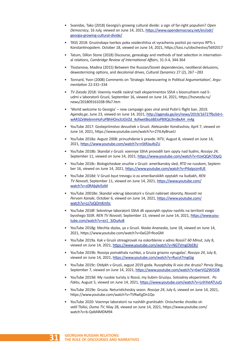- Svanidze, Tako (2018) Georgia's growing cultural divide: a sign of far-right populism? *Open Democracy*, 16 July, viewed on June 14, 2021, https://www.opendemocracy.net/en/odr/ georgia-growing-cultural-divide/
- TASS 2018: Gruzinskaya tserkov poka vozderzhitsa ot vyrazhenia pozitsii po razryvu RPTs s Konstantinopolem. October 18, viewed on June 14, 2021, https://tass.ru/obschestvo/5692017
- Tatum, Dillon Stone (2018) Discourse, genealogy and methods of text selection in international relations, *Cambridge Review of International Affairs*, 31:3-4, 344-364
- Tlostanova, Madina (2015) Between the Russian/Soviet dependencies, neoliberal delusions, dewesternizing options, and decolonial drives, *Cultural Dynamics* 27 (2), 267 –283
- Tonnard, Yvon (2008) Comments on 'Strategic Maneuvering in Political Argumentation', *Argumentation* 22:331–334
- *TV Zvezda* 2018: Voenniy medik raskryl tseli eksperimentov SShA s biooruzhiem nad liudmi v laboratorii Gruzii, September 16, viewed on June 14, 2021, https://tvzvezda.ru/ news/201809161038-9fa7.htm
- 'World welcome to Georgia' new campaign goes viral amid Putin's flight ban. 2019. *Agenda,ge*, June 23, viewed on June 14, 2021, http://agenda.ge/en/news/2019/1672?fbclid=IwAR3ZxWe6nmHoFuPBhHOnclUGVZd\_4ofwetBioJi8EIoPB9QiL9mBxAH\_m4g
- YouTube 2017: Gostepriimstvo devushek v Gruzii. Aleksander Kondrashov, April 7, viewed on June 14, 2021, https://www.youtube.com/watch?v=27tL4yBrueU
- YouTube 2018a: Avgust 2008: prinuzhdenie k pravde. *NTV*, August 8, viewed on June 14, 2021, https://www.youtube.com/watch?v=nStRJxufoZU
- YouTube 2018b: Skandal v Gruzii: voennye SShA provodili tam opyty nad liudmi, *Rossiya 24*, September 11, viewed on June 14, 2021, https://www.youtube.com/watch?v=tUeQQA7JDpQ
- YouTube 2018c: Biologicheskoe oruzhie v Gruzii: amerikanskiy sled, *RTD na russkom*, September 16, viewed on June 14, 2021, https://www.youtube.com/watch?v=P4aIpszn4UE
- YouTube 2018d: V Gruzii byut trevogu iz-za amerikanskikh opytakh na liudiakh, *REN TV Novosti*, September 11, viewed on June 14, 2021, https://www.youtube.com/ watch?v=z0RAbjArEeM
- YouTube 20018e: Skandal vokrug laboratorii v Gruzii nabiraet oboroty, *Novosti na Pervom Kanale*, October 6, viewed on June 14, 2021, https://www.youtube.com/ watch?v=cz7oQOmKmhc
- YouTube 2018f: Sekretnye laboratorii SShA dli opasnykh opytov nashlis na territorii vsego byvshego SSSR. *REN TV Novosti*, September 13, viewed on June 14, 2021, https://www.youtube.com/watch?v=ez1\_3JDuAo8
- YouTube 2018g: Mechta sbylas, ya v Gruzii. *Naska Ananaska*, June 18, viewed on June 14, 2021, https://www.youtube.com/watch?v=0aG2FrRsoGM
- YouTube 2019a. Kak v Gruzii otreagirovali na oskorblenie v adres Rossii? *60 Minut*, July 8, viewed on June 14, 2021, https://www.youtube.com/watch?v=NGTVmgObE8U
- YouTube 2019b: Rossiya pomakhala ruchkoi, a Gruzia griazno vyrugalas'. *Rossiya 24*, July 8, viewed on June 14, 2021, https://www.youtube.com/watch?v=Rucvt7mgGig
- YouTube 2019c: Otdykh v Gruzii, avgust 2019 goda. Rusophoby ili vsio zhe druzia? *Perviy Shag*, September 7, viewed on June 14, 2021, https://www.youtube.com/watch?v=6wrVQ2Wi5D8
- YouTube 2019d: My russkie turisty iz Rossii, my liubim Gruziyu. Sotsialniy eksperiment. *Po Faktu*, August 5, viewed on June 14, 2021, https://www.youtube.com/watch?v=LnhYxtATUuQ
- YouTube 2019e: Gruzia. Neturisticheskiy sezon. *Rossiya 24*, July 6, viewed on June 14, 2021, https://www.youtube.com/watch?v=TVRwEgDn1Qo
- YouTube 2020: Voennye laboratorii na nashikh granitsakh: Onischenko zhostko otvetil Tbilisi, *Duma TV*, May 28, viewed on June 14, 2021, https://www.youtube.com/ watch?v=b-QxM4MDM94

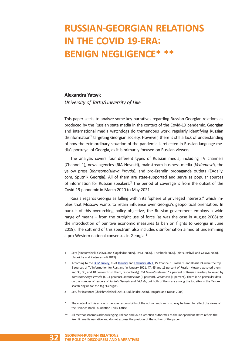# **RUSSIAN-GEORGIAN RELATIONS IN THE COVID 19-ERA: BENIGN NEGLIGENCE\* \*\***

### **Alexandra Yatsyk**

*University of Tartu/University of Lille*

This paper seeks to analyze some key narratives regarding Russian-Georgian relations as produced by the Russian state media in the context of the Covid-19 pandemic. Georgian and international media watchdogs do tremendous work, regularly identifying Russian disinformation<sup>1</sup> targeting Georgian society. However, there is still a lack of understanding of how the extraordinary situation of the pandemic is reflected in Russian-language media's portrayal of Georgia, as it is primarily focused on Russian viewers.

The analysis covers four different types of Russian media, including TV channels (Channel 1), news agencies (RIA Novosti), mainstream business media (*Vedomosti*), the yellow press (*Komsomolskaya Pravda*), and pro-Kremlin propaganda outlets (EAdaily. com, Sputnik Georgia). All of them are state-supported and serve as popular sources of information for Russian speakers.<sup>2</sup> The period of coverage is from the outset of the Covid-19 pandemic in March 2020 to May 2021.

Russia regards Georgia as falling within its "sphere of privileged interests," which implies that Moscow wants to retain influence over Georgia's geopolitical orientation. In pursuit of this overarching policy objective, the Russian government employs a wide range of means – from the outright use of force (as was the case in August 2008) to the introduction of punitive economic measures (a ban on flights to Georgia in June 2019). The soft end of this spectrum also includes disinformation aimed at undermining a pro-Western national consensus in Georgia.<sup>3</sup>

- 3 See, for instance: (Shaishmelashvili 2021), (Julukhidze 2020), (Rogoża and Dubas 2008)
- The content of this article is the sole responsibility of the author and can in no way be taken to reflect the views of the Heinrich Boell Foundation Tbilisi Office.
- All mentions/names acknowledging Abkhaz and South Ossetian authorities as the independent states reflect the Kremlin media narrative and do not express the position of the author of the paper.



<sup>1</sup> See: (Kintsurashvili, Gelava, and Gogoladze 2019), (MDF 2020), (Facebook 2020), (Kintsurashvili and Gelava 2020), (Pataridze and Kintsurashvili 2019)

<sup>2</sup> According to the FOM survey, as of January and February 2021, TV Channel 1, Rossia 1, and Rossia 24 were the top 5 sources of TV information for Russians (in January 2021, 47, 45 and 16 percent of Russian viewers watched them, and 35, 35, and 10 percent trust them, respectively). *RIA Novosti* retained 12 percent of Russian readers, followed by *Komsomolskaya Pravda* (KP, 4 percent), *Kommersant* (2 percent), *Vedomosti* (1 percent). There is no particular data on the number of readers of *Sputnik Georgia* and *EAdaily*, but both of them are among the top sites in the Yandex search engine for the tag "Georgia".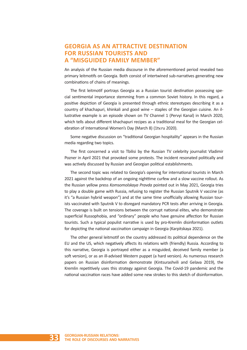# **GEORGIA AS AN ATTRACTIVE DESTINATION FOR RUSSIAN TOURISTS AND A "MISGUIDED FAMILY MEMBER"**

An analysis of the Russian media discourse in the aforementioned period revealed two primary leitmotifs on Georgia. Both consist of intertwined sub-narratives generating new combinations of chains of meanings.

The first leitmotif portrays Georgia as a Russian tourist destination possessing special sentimental importance stemming from a common Soviet history. In this regard, a positive depiction of Georgia is presented through ethnic stereotypes describing it as a country of khachapuri, khinkali and good wine – staples of the Georgian cuisine. An illustrative example is an episode shown on TV Channel 1 (Pervyi Kanal) in March 2020, which tells about different khachapuri recipes as a traditional meal for the Georgian celebration of International Women's Day (March 8) (1tv.ru 2020).

Some negative discussion on "traditional Georgian hospitality" appears in the Russian media regarding two topics.

The first concerned a visit to Tbilisi by the Russian TV celebrity journalist Vladimir Pozner in April 2021 that provoked some protests. The incident resonated politically and was actively discussed by Russian and Georgian political establishments.

The second topic was related to Georgia's opening for international tourists in March 2021 against the backdrop of an ongoing nighttime curfew and a slow vaccine rollout. As the Russian yellow press *Komsomolskaya Pravda* pointed out in May 2021, Georgia tries to play a double game with Russia, refusing to register the Russian Sputnik V vaccine (as it's "a Russian hybrid weapon") and at the same time unofficially allowing Russian tourists vaccinated with Sputnik V to disregard mandatory PCR tests after arriving in Georgia. The coverage is built on tensions between the corrupt national elites, who demonstrate superficial Russophobia, and "ordinary" people who have genuine affection for Russian tourists. Such a typical populist narrative is used by pro-Kremlin disinformation outlets for depicting the national vaccination campaign in Georgia (Karpitskaya 2021).

The other general leitmotif on the country addressed its political dependence on the EU and the US, which negatively affects its relations with (friendly) Russia. According to this narrative, Georgia is portrayed either as a misguided, deceived family member (a soft version), or as an ill-advised Western puppet (a hard version). As numerous research papers on Russian disinformation demonstrate (Kintsurashvili and Gelava 2019), the Kremlin repetitively uses this strategy against Georgia. The Covid-19 pandemic and the national vaccination races have added some new strokes to this sketch of disinformation.

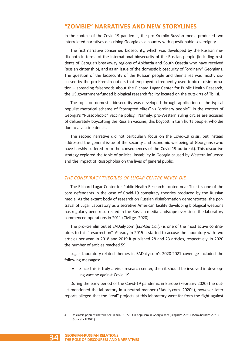# **"ZOMBIE" NARRATIVES AND NEW STORYLINES**

In the context of the Covid-19 pandemic, the pro-Kremlin Russian media produced two interrelated narratives describing Georgia as a country with questionable sovereignty.

The first narrative concerned biosecurity, which was developed by the Russian media both in terms of the international biosecurity of the Russian people (including residents of Georgia's breakaway regions of Abkhazia and South Ossetia who have received Russian citizenship), and as an issue of the domestic biosecurity of "ordinary" Georgians. The question of the biosecurity of the Russian people and their allies was mostly discussed by the pro-Kremlin outlets that employed a frequently used topic of disinformation – spreading falsehoods about the Richard Lugar Center for Public Health Research, the US government-funded biological research facility located on the outskirts of Tbilisi.

The topic on domestic biosecurity was developed through application of the typical populist rhetorical scheme of "corrupted elites" vs "ordinary people"4 in the context of Georgia's "Russophobic" vaccine policy. Namely, pro-Western ruling circles are accused of deliberately boycotting the Russian vaccine, this boycott in turn hurts people, who die due to a vaccine deficit.

The second narrative did not particularly focus on the Covid-19 crisis, but instead addressed the general issue of the security and economic wellbeing of Georgians (who have harshly suffered from the consequences of the Covid-19 outbreak). This discursive strategy explored the topic of political instability in Georgia caused by Western influence and the impact of Russophobia on the lives of general public.

# *THE CONSPIRACY THEORIES OF LUGAR CENTRE NEVER DIE*

The Richard Lugar Center for Public Health Research located near Tbilisi is one of the core defendants in the case of Covid-19 conspiracy theories produced by the Russian media. As the extant body of research on Russian disinformation demonstrates, the portrayal of Lugar Laboratory as a secretive American facility developing biological weapons has regularly been resurrected in the Russian media landscape ever since the laboratory commenced operations in 2011 (Civil.ge. 2020).

The pro-Kremlin outlet EADaily.com (*EurAsia Daily*) is one of the most active contributors to this "resurrection". Already in 2015 it started to accuse the laboratory with two articles per year. In 2018 and 2019 it published 28 and 23 articles, respectively. In 2020 the number of articles reached 59.

Lugar Laboratory-related themes in EADaily.com's 2020-2021 coverage included the following messages:

Since this is truly a virus research center, then it should be involved in developing vaccine against Covid-19.

During the early period of the Covid-19 pandemic in Europe (February 2020) the outlet mentioned the laboratory in a neutral manner (EAdaily.com. 2020f), however, later reports alleged that the "real" projects at this laboratory were far from the fight against

<sup>4</sup> On classic populist rhetoric see: (Laclau 1977); On populism in Georgia see: (Silagadze 2021), (Samkharadze 2021), (Gozalishvili 2021)

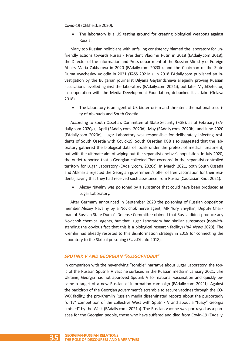Covid-19 (Chkheidze 2020).

The laboratory is a US testing ground for creating biological weapons against Russia.

Many top Russian politicians with unfailing consistency blamed the laboratory for unfriendly actions towards Russia - President Vladimir Putin in 2018 (EAdaily.com 2018), the Director of the Information and Press department of the Russian Ministry of Foreign Affairs Maria Zakharova in 2020 (EAdaily.com 2020h), and the Chairman of the State Duma Vyacheslav Volodin in 2021 (TASS 2021a ). In 2018 EAdaily.com published an investigation by the Bulgarian journalist Dilyana Gaytandzhieva allegedly proving Russian accusations levelled against the laboratory (EAdaily.com 2021i), but later MythDetector, in cooperation with the Media Development Foundation, debunked it as fake (Gelava 2018).

• The laboratory is an agent of US bioterrorism and threatens the national security of Abkhazia and South Ossetia.

According to South Ossetia's Committee of State Security (KGB), as of February (EAdaily.com 2020g), April (EAdaily.com. 2020d), May (EAdaily.com. 2020b), and June 2020 (EAdaily.com 2020e), Lugar Laboratory was responsible for deliberately infecting residents of South Ossetia with Covid-19. South Ossetian KGB also suggested that the laboratory gathered the biological data of locals under the pretext of medical treatment, but with the ultimate aim of wiping out the separatist enclave's population. In July 2020, the outlet reported that a Georgian collected "bat cocoons" in the separatist-controlled territory for Lugar Laboratory (EAdaily.com. 2020c). In March 2021, both South Ossetia and Abkhazia rejected the Georgian government's offer of free vaccination for their residents, saying that they had received such assistance from Russia (Caucasian Knot 2021).

Alexey Navalny was poisoned by a substance that could have been produced at Lugar Laboratory.

After Germany announced in September 2020 the poisoning of Russian opposition member Alexey Navalny by a Novichok nerve agent, MP Yury Shvytkin, Deputy Chairman of Russian State Duma's Defense Committee claimed that Russia didn't produce any Novichok chemical agents, but that Lugar Laboratory had similar substances (notwithstanding the obvious fact that this is a biological research facility) (*RIA News* 2020). The Kremlin had already resorted to this disinformation strategy in 2018 for connecting the laboratory to the Skripal poisoning (EUvsDisInfo 2018).

#### *SPUTNIK V AND GEORGIAN "RUSSOPHOBIA"*

In comparison with the never-dying "zombie" narrative about Lugar Laboratory, the topic of the Russian Sputnik V vaccine surfaced in the Russian media in January 2021. Like Ukraine, Georgia has not approved Sputnik V for national vaccination and quickly became a target of a new Russian disinformation campaign (EAdaily.com 2021f). Against the backdrop of the Georgian government's scramble to secure vaccines through the CO-VAX facility, the pro-Kremlin Russian media disseminated reports about the purportedly "dirty" competition of the collective West with Sputnik V and about a "fussy" Georgia "misled" by the West (EAdaily.com. 2021a). The Russian vaccine was portrayed as a panacea for the Georgian people, those who have suffered and died from Covid-19 (EAdaily.

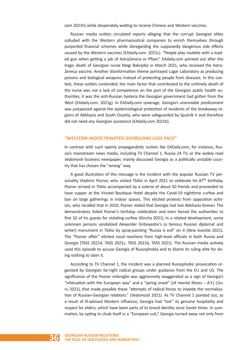com 2021h) while desperately waiting to receive Chinese and Western vaccines.

Russian media outlets circulated reports alleging that the corrupt Georgian elites colluded with the Western pharmaceutical companies to enrich themselves through purported financial schemes while disregarding the supposedly dangerous side effects caused by the Western vaccines (EAdaily.com. 2021c). "People play roulette with a loaded gun when getting a jab of AstraZeneca or Pfizer," EAdaily.com pointed out after the tragic death of Georgian nurse Megi Bakradze in March 2021, who received the Astra-Zeneca vaccine. Another disinformation theme portrayed Lugar Laboratory as producing poisons and biological weapons instead of protecting people from diseases. In this context, these outlets contended, the main factor that contributed to the untimely death of the nurse was not a lack of competence on the part of the Georgian public health authorities, it was the anti-Russian hysteria the Georgian government had gotten from the West (EAdaily.com. 2021g). In EADaily.com coverage, Georgia's unenviable predicament was juxtaposed against the epidemiological protection of residents of the breakaway regions of Abkhazia and South Ossetia, who were safeguarded by Sputnik V and therefore did not need any Georgian assistance (EAdaily.com 2021b).

### *"WESTERN-INDOCTRINATED GEORGIANS LOSE FACE"*

In contrast with such openly propagandistic outlets like EADaily.com, for instance, Russia's mainstream news media, including TV Channel 1, Russia 24 TV, or the widely read *Vedomosti* business newspaper, mainly discussed Georgia as a politically unstable country that has chosen the "wrong" way.

A good illustration of this message is the incident with the popular Russian TV personality Vladimir Pozner, who visited Tbilisi in April 2021 to celebrate his  $87<sup>th</sup>$  birthday. Pozner arrived in Tbilisi accompanied by a coterie of about 50 friends and proceeded to have supper at the Vinotel Boutique Hotel despite the Covid-19 nighttime curfew and ban on large gatherings in indoor spaces. This elicited protests from opposition activists, who recalled that in 2010, Pozner stated that Georgia had lost Abkhazia forever. The demonstrators foiled Pozner's birthday celebration and even forced the authorities to fine 32 of his guests for violating curfew (Kincha 2021). In a related development, some unknown persons vandalized Alexander Griboyedov's (a famous Russian diplomat and writer) monument in Tbilisi by spray-painting "Russia is evil" on it (*New Izvestia* 2021). The "Pozner affair" elicited vocal reactions from high-level officials in both Russia and Georgia (TASS 2021d, TASS 2021c, TASS 2021b, TASS 2021). The Russian media actively used this episode to accuse Georgia of Russophobia and to blame its ruling elite for doing nothing to stem it.

According to TV Channel 1, the incident was a planned Russophobic provocation organized by Georgian far-right radical groups under guidance from the EU and US. The significance of the Pozner imbroglio was aggressively exaggerated as a sign of Georgia's "infatuation with the European way" and a "spring onset" [of mental illness  $- A.Y.$ ] (1tv. ru 2021), that made possible these "attempts of radical forces to impede the normalization of Russian-Georgian relations." (*Vedomosti* 2021). As TV Channel 1 pointed out, as a result of ill-advised Western influence, Georgia had "lost" its genuine hospitality and respect for elders, which have been parts of its brand identity since Soviet times. In summation, by opting to cloak itself in a "European suit," Georgia turned away not only from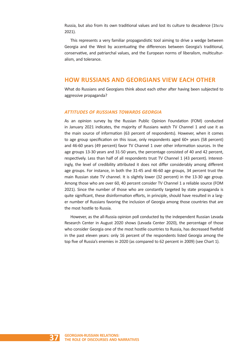Russia, but also from its own traditional values and lost its culture to decadence (1tv.ru 2021).

This represents a very familiar propagandistic tool aiming to drive a wedge between Georgia and the West by accentuating the differences between Georgia's traditional, conservative, and patriarchal values, and the European norms of liberalism, multiculturalism, and tolerance.

# **HOW RUSSIANS AND GEORGIANS VIEW EACH OTHER**

What do Russians and Georgians think about each other after having been subjected to aggressive propaganda?

# *ATTITUDES OF RUSSIANS TOWARDS GEORGIA*

As an opinion survey by the Russian Public Opinion Foundation (FOM) conducted in January 2021 indicates, the majority of Russians watch TV Channel 1 and use it as the main source of information (63 percent of respondents). However, when it comes to age group specification on this issue, only respondents aged 60+ years (58 percent) and 46-60 years (49 percent) favor TV Channel 1 over other information sources. In the age groups 13-30 years and 31-50 years, the percentage consisted of 40 and 42 percent, respectively. Less than half of all respondents trust TV Channel 1 (43 percent). Interestingly, the level of credibility attributed it does not differ considerably among different age groups. For instance, in both the 31-45 and 46-60 age groups, 34 percent trust the main Russian state TV channel. It is slightly lower (32 percent) in the 13-30 age group. Among those who are over 60, 40 percent consider TV Channel 1 a reliable source (FOM 2021). Since the number of those who are constantly targeted by state propaganda is quite significant, these disinformation efforts, in principle, should have resulted in a larger number of Russians favoring the inclusion of Georgia among those countries that are the most hostile to Russia.

However, as the all-Russia opinion poll conducted by the independent Russian Levada Research Center in August 2020 shows (Levada Center 2020), the percentage of those who consider Georgia one of the most hostile countries to Russia, has decreased fivefold in the past eleven years: only 16 percent of the respondents listed Georgia among the top five of Russia's enemies in 2020 (as compared to 62 percent in 2009) (see Chart 1).

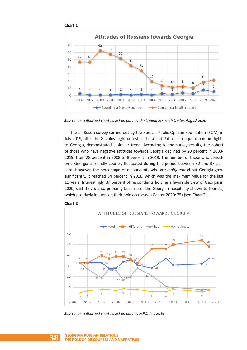

*Source: an authorized chart based on data by the Levada Research Center, August 2020*

The all-Russia survey carried out by the Russian Public Opinion Foundation (FOM) in July 2019, after the Gavrilov night unrest in Tbilisi and Putin's subsequent ban on flights to Georgia, demonstrated a similar trend. According to the survey results, the cohort of those who have negative attitudes towards Georgia declined by 20 percent in 2008- 2019: from 28 percent in 2008 to 8 percent in 2019. The number of those who considered Georgia a friendly country fluctuated during this period between 32 and 37 percent. However, the percentage of respondents who are *indifferent* about Georgia grew significantly. It reached 54 percent in 2018, which was the maximum value for the last 11 years. Interestingly, 37 percent of respondents holding a favorable view of Georgia in 2020, said they did so primarily because of the Georgian hospitality shown to tourists, which positively influenced their opinion (Levada Center 2020: 25) (see Chart 2).



#### **Chart 2**

*Source: an authorized chart based on data by FOM, July 2019*

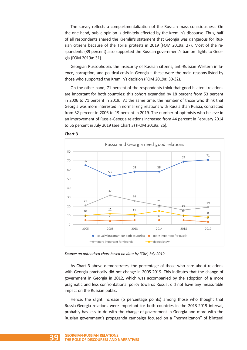The survey reflects a compartmentalization of the Russian mass consciousness. On the one hand, public opinion is definitely affected by the Kremlin's discourse. Thus, half of all respondents shared the Kremlin's statement that Georgia was dangerous for Russian citizens because of the Tbilisi protests in 2019 (FOM 2019a: 27). Most of the respondents (39 percent) also supported the Russian government's ban on flights to Georgia (FOM 2019a: 31).

Georgian Russophobia, the insecurity of Russian citizens, anti-Russian Western influence, corruption, and political crisis in Georgia – these were the main reasons listed by those who supported the Kremlin's decision (FOM 2019a: 30-32).

On the other hand, 71 percent of the respondents think that good bilateral relations are important for both countries: this cohort expanded by 18 percent from 53 percent in 2006 to 71 percent in 2019. At the same time, the number of those who think that Georgia was more interested in normalizing relations with Russia than Russia, contracted from 32 percent in 2006 to 19 percent in 2019. The number of optimists who believe in an improvement of Russia-Georgia relations increased from 44 percent in February 2014 to 56 percent in July 2019 (see Chart 3) (FOM 2019a: 26).







As Chart 3 above demonstrates, the percentage of those who care about relations with Georgia practically did not change in 2005-2019. This indicates that the change of government in Georgia in 2012, which was accompanied by the adoption of a more pragmatic and less confrontational policy towards Russia, did not have any measurable impact on the Russian public.

Hence, the slight increase (6 percentage points) among those who thought that Russia-Georgia relations were important for both countries in the 2013-2019 interval, probably has less to do with the change of government in Georgia and more with the Russian government's propaganda campaign focused on a "normalization" of bilateral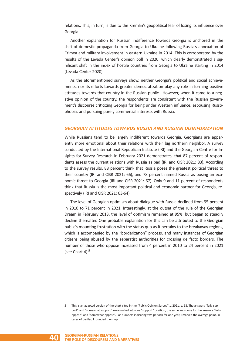relations. This, in turn, is due to the Kremlin's geopolitical fear of losing its influence over Georgia.

Another explanation for Russian indifference towards Georgia is anchored in the shift of domestic propaganda from Georgia to Ukraine following Russia's annexation of Crimea and military involvement in eastern Ukraine in 2014. This is corroborated by the results of the Levada Center's opinion poll in 2020, which clearly demonstrated a significant shift in the index of hostile countries from Georgia to Ukraine starting in 2014 (Levada Center 2020).

As the aforementioned surveys show, neither Georgia's political and social achievements, nor its efforts towards greater democratization play any role in forming positive attitudes towards that country in the Russian public. However, when it came to a negative opinion of the country, the respondents are consistent with the Russian government's discourse criticizing Georgia for being under Western influence, espousing Russophobia, and pursuing purely commercial interests with Russia.

#### *GEORGIAN ATTITUDES TOWARDS RUSSIA AND RUSSIAN DISINFORMATION*

While Russians tend to be largely indifferent towards Georgia, Georgians are apparently more emotional about their relations with their big northern neighbor. A survey conducted by the International Republican Institute (IRI) and the Georgian Centre for Insights for Survey Research in February 2021 demonstrates, that 87 percent of respondents assess the current relations with Russia as bad (IRI and CISR 2021: 83). According to the survey results, 88 percent think that Russia poses the greatest political threat to their country (IRI and CISR 2021: 66), and 78 percent named Russia as posing an economic threat to Georgia (IRI and CISR 2021: 67). Only 9 and 11 percent of respondents think that Russia is the most important political and economic partner for Georgia, respectively (IRI and CISR 2021: 63-64).

The level of Georgian optimism about dialogue with Russia declined from 95 percent in 2010 to 71 percent in 2021. Interestingly, at the outset of the rule of the Georgian Dream in February 2013, the level of optimism remained at 95%, but began to steadily decline thereafter. One probable explanation for this can be attributed to the Georgian public's mounting frustration with the status quo as it pertains to the breakaway regions, which is accompanied by the "borderization" process, and many instances of Georgian citizens being abused by the separatist authorities for crossing de facto borders. The number of those who oppose increased from 4 percent in 2010 to 24 percent in 2021 (see Chart 4). $5$ 

This is an adapted version of the chart cited in the "Public Opinion Survey" ... 2021, p. 68. The answers "fully support" and "somewhat support" were united into one "support" position, the same was done for the answers "fully oppose" and "somewhat oppose". For numbers indicating two periods for one year, I marked the average point. In cases of deciles, I rounded them up.

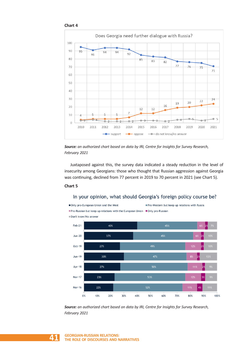



*Source: an authorized chart based on data by IRI, Centre for Insights for Survey Research, February 2021*

Juxtaposed against this, the survey data indicated a steady reduction in the level of insecurity among Georgians: those who thought that Russian aggression against Georgia was continuing, declined from 77 percent in 2019 to 70 percent in 2021 (see Chart 5).

### **Chart 5**

Only pro-European Union and the West

# In your opinion, what should Georgia's foreign policy course be?



*Source: an authorized chart based on data by IRI, Centre for Insights for Survey Research, February 2021*

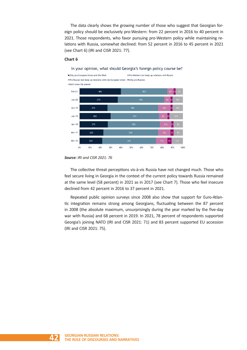The data clearly shows the growing number of those who suggest that Georgian foreign policy should be exclusively pro-Western: from 22 percent in 2016 to 40 percent in 2021. Those respondents, who favor pursuing pro-Western policy while maintaining relations with Russia, somewhat declined: from 52 percent in 2016 to 45 percent in 2021 (see Chart 6) (IRI and CISR 2021: 77).

#### **Chart 6**

In your opinion, what should Georgia's foreign policy course be?



*Source: IRI and CISR 2021: 76*

The collective threat perceptions vis-à-vis Russia have not changed much. Those who feel secure living in Georgia in the context of the current policy towards Russia remained at the same level (58 percent) in 2021 as in 2017 (see Chart 7). Those who feel insecure declined from 42 percent in 2016 to 37 percent in 2021.

Repeated public opinion surveys since 2008 also show that support for Euro-Atlantic integration remains strong among Georgians, fluctuating between the 87 percent in 2008 (the absolute maximum, unsurprisingly during the year marked by the five-day war with Russia) and 68 percent in 2019. In 2021, 78 percent of respondents supported Georgia's joining NATO (IRI and CISR 2021: 71) and 83 percent supported EU accession (IRI and CISR 2021: 75).

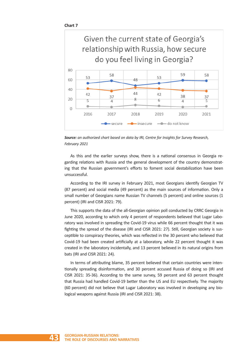

*Source: an authorized chart based on data by IRI, Centre for Insights for Survey Research, February 2021*

As this and the earlier surveys show, there is a national consensus in Georgia regarding relations with Russia and the general development of the country demonstrating that the Russian government's efforts to foment social destabilization have been unsuccessful.

According to the IRI survey in February 2021, most Georgians identify Georgian TV (87 percent) and social media (49 percent) as the main sources of information. Only a small number of Georgians name Russian TV channels (5 percent) and online sources (1 percent) (IRI and CISR 2021: 79).

This supports the data of the all-Georgian opinion poll conducted by CRRC Georgia in June 2020, according to which only 4 percent of respondents believed that Lugar Laboratory was involved in spreading the Covid-19 virus while 66 percent thought that it was fighting the spread of the disease (IRI and CISR 2021: 27). Still, Georgian society is susceptible to conspiracy theories, which was reflected in the 30 percent who believed that Covid-19 had been created artificially at a laboratory, while 22 percent thought it was created in the laboratory incidentally, and 13 percent believed in its natural origins from bats (IRI and CISR 2021: 24).

In terms of attributing blame, 35 percent believed that certain countries were intentionally spreading disinformation, and 30 percent accused Russia of doing so (IRI and CISR 2021: 35-36). According to the same survey, 59 percent and 63 percent thought that Russia had handled Covid-19 better than the US and EU respectively. The majority (60 percent) did not believe that Lugar Laboratory was involved in developing any biological weapons against Russia (IRI and CISR 2021: 38).

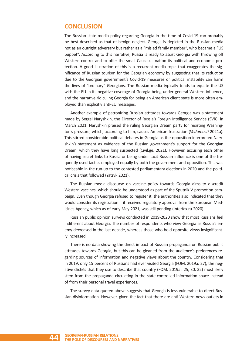# **CONCLUSION**

The Russian state media policy regarding Georgia in the time of Covid-19 can probably be best described as that of benign neglect. Georgia is depicted in the Russian media not as an outright adversary but rather as a "misled family member", who became a "US puppet". According to this narrative, Russia is ready to assist Georgia with throwing off Western control and to offer the small Caucasus nation its political and economic protection. A good illustration of this is a recurrent media topic that exaggerates the significance of Russian tourism for the Georgian economy by suggesting that its reduction due to the Georgian government's Covid-19 measures or political instability can harm the lives of "ordinary" Georgians. The Russian media typically tends to equate the US with the EU in its negative coverage of Georgia being under general Western influence, and the narrative ridiculing Georgia for being an American client state is more often employed than explicitly anti-EU messages.

Another example of patronizing Russian attitudes towards Georgia was a statement made by Sergei Naryshkin, the Director of Russia's Foreign Intelligence Service (SVR), in March 2021. Naryshkin praised the ruling Georgian Dream party for resisting Washington's pressure, which, according to him, causes American frustration (*Vedomosti* 2021a). This stirred considerable political debates in Georgia as the opposition interpreted Naryshkin's statement as evidence of the Russian government's support for the Georgian Dream, which they have long suspected (Civil.ge. 2021). However, accusing each other of having secret links to Russia or being under tacit Russian influence is one of the frequently used tactics employed equally by both the government and opposition. This was noticeable in the run-up to the contested parliamentary elections in 2020 and the political crisis that followed (Yatsyk 2021).

The Russian media discourse on vaccine policy towards Georgia aims to discredit Western vaccines, which should be understood as part of the Sputnik V promotion campaign. Even though Georgia refused to register it, the authorities also indicated that they would consider its registration if it received regulatory approval from the European Medicines Agency, which as of early May 2021, was still pending (Interfax.ru 2020).

Russian public opinion surveys conducted in 2019-2020 show that most Russians feel indifferent about Georgia. The number of respondents who view Georgia as Russia's enemy decreased in the last decade, whereas those who hold opposite views insignificantly increased.

There is no data showing the direct impact of Russian propaganda on Russian public attitudes towards Georgia, but this can be gleaned from the audience's preferences regarding sources of information and negative views about the country. Considering that in 2019, only 15 percent of Russians had ever visited Georgia (FOM. 2019a: 27), the negative clichés that they use to describe that country (FOM. 2019a : 25, 30, 32) most likely stem from the propaganda circulating in the state-controlled information space instead of from their personal travel experiences.

The survey data quoted above suggests that Georgia is less vulnerable to direct Russian disinformation. However, given the fact that there are anti-Western news outlets in

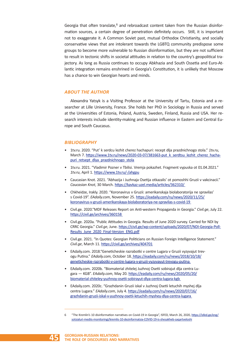Georgia that often translate, $6$  and rebroadcast content taken from the Russian disinformation sources, a certain degree of penetration definitely occurs. Still, it is important not to exaggerate it. A Common Soviet past, mutual Orthodox Christianity, and socially conservative views that are intolerant towards the LGBTQ community predispose some groups to become more vulnerable to Russian disinformation, but they are not sufficient to result in tectonic shifts in societal attitudes in relation to the country's geopolitical trajectory. As long as Russia continues to occupy Abkhazia and South Ossetia and Euro-Atlantic integration remains enshrined in Georgia's Constitution, it is unlikely that Moscow has a chance to win Georgian hearts and minds.

### *ABOUT THE AUTHOR*

Alexandra Yatsyk is a Visiting Professor at the University of Tartu, Estonia and a researcher at Lille University, France. She holds her PhD in Sociology in Russia and served at the Universities of Estonia, Poland, Austria, Sweden, Finland, Russia and USA. Her research interests include identity-making and Russian influence in Eastern and Central Europe and South Caucasus.

#### *BIBLIOGRAPHY*

- 1tv.ru. 2020. "Put' k serdcu lezhit cherez hachapuri: recept dlja prazdnichnogo stola." *1tv.ru*, March 7. https://www.1tv.ru/news/2020-03-07/381663-put\_k\_serdtsu\_lezhit\_cherez\_hachapuri\_retsept\_dlya\_prazdnichnogo\_stola
- 1tv.ru. 2021. "Vladimir Pozner v Tbilisi. Vremja pokazhet. Fragment vypuska ot 01.04.2021." *1tv.ru*, April 1. https://www.1tv.ru/-/ahgpu
- Caucasian Knot. 2021. "Abhazija i Juzhnaja Osetija otkazalis' ot pomoshhi Gruzii v vakcinacii." *Caucasian Knot*, 30 March. https://kavkaz-uzel.media/articles/362310/
- Chkheidze, Irakly. 2020. "Koronavirus v Gruzii: amerikanskaja biolaboratorija ne spravilas' s Covid-19". *EAdaily.com*, November 25. https://eadaily.com/ru/news/2020/11/25/ koronavirus-v-gruzii-amerikanskaya-biolaboratoriya-ne-spravilas-s-covid-19
- Civil.ge. 2020."MDF Releases Report on Anti-western Propaganda in Georgia." *Civil.ge*, July 22. https://civil.ge/archives/360158
- Civil.ge. 2020a. "Public Attitudes in Georgia. Results of June 2020 survey. Carried for NDI by CRRC Georgia." *Civil.ge*, June. https://civil.ge/wp-content/uploads/2020/07/NDI-Georgia-Poll-Results\_June\_2020\_Final-Version\_ENG.pdf
- Civil.ge. 2021. "In Quotes: Georgian Politicians on Russian Foreign Intelligence Statement." *Civil.ge*, March 11. https://civil.ge/archives/404701
- EAdaily.com. 2018."Geneticheskie razrabotki v centre Lugara v Gruzii vyzyvajut trevogu Putina." *EAdaily.com*, October 18. https://eadaily.com/ru/news/2018/10/18/ geneticheskie-razrabotki-v-centre-lugara-v-gruzii-vyzyvayut-trevogu-putina
- EAdaily.com. 2020b. "Biomaterial zhitelej Juzhnoj Osetii sobirajut dlja centra Lugara — KGB". *EAdaily.com*, May 20. https://eadaily.com/ru/news/2020/05/20/ biomaterial-zhiteley-yuzhnoy-osetii-sobirayut-dlya-centra-lugara-kgb
- EAdaily.com. 2020c. "Grazhdanin Gruzii iskal v Juzhnoj Osetii letuchih myshej dlja centra Lugara." *EAdaily.com*, July 4. https://eadaily.com/ru/news/2020/07/16/ grazhdanin-gruzii-iskal-v-yuzhnoy-osetii-letuchih-myshey-dlya-centra-lugara

<sup>6</sup> "The Kremlin's 10 disinformation narratives on Covid-19 in Georgia", ISFED, March 26, 2020, https://isfed.ge/eng/ sotsialuri-mediis-monitoringi/kremlis-10-dezinformatsia-COVID-19-is-shesakheb-saqartveloshi

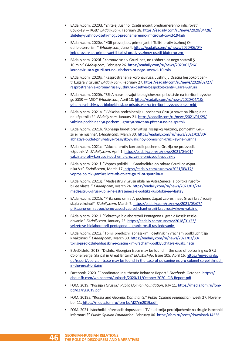- EAdaily.com. 2020d. "Zhitelej Juzhnoj Osetii mogut prednamerenno inficirovat' Covid-19 — KGB." *EAdaily.com*, February 28. https://eadaily.com/ru/news/2020/04/28/ zhiteley-yuzhnoy-osetii-mogut-prednamerenno-inficirovat-covid-19-kgb
- EAdaily.com. 2020e. "KGB proverjaet, primenjaet li Tbilisi protiv Juzhnoj Osetii bioterrorism." *EAdaily.com*, June 4. https://eadaily.com/ru/news/2020/06/04/ kgb-proveryaet-primenyaet-li-tbilisi-protiv-yuzhnoy-osetii-bioterrorizm
- EAdaily.com. 2020f. "Koronavirusa v Gruzii net, no ushherb ot nego sostavil \$ 10 mln." *EAdaily.com*, February 26. https://eadaily.com/ru/news/2020/02/26/ koronavirusa-v-gruzii-net-no-ushcherb-ot-nego-sostavil-10-mln
- EAdaily.com*.* 2020g. "Rasprostranenie koronavirusa: Juzhnuju Osetiju bespokoit centr Lugara v Gruzii." *EAdaily.com*, February 27. https://eadaily.com/ru/news/2020/02/27/ rasprostranenie-koronavirusa-yuzhnuyu-osetiyu-bespokoit-centr-lugara-v-gruzii
- EAdaily.com. 2020h. "SShA narashhivajut biologicheskoe prisutstvie na territorii byvshego SSSR — MID." *EAdaily.com*, April 18. https://eadaily.com/ru/news/2020/04/18/ ssha-narashchivayut-biologicheskoe-prisutstvie-na-territorii-byvshego-sssr-mid
- EAdaily.com. 2021a. "«Vakcina podchinenija»: pochemu Gruzija stavit na Pfizer, a ne na «Sputnik»?" *EAdaily.com*, January 21. https://eadaily.com/ru/news/2021/01/29/ vakcina-podchineniya-pochemu-gruziya-stavit-na-pfizer-a-ne-na-sputnik
- EAdaily.com. 2021b. "Abhazija budet privivat'sja rossijskoj vakcinoj, pomoshh' Gruzii ej ne nuzhna". *EAdaily.com*, March 30. https://eadaily.com/ru/news/2021/03/30/ abhaziya-budet-privivatsya-rossiyskoy-vakcinoy-pomoshch-gruzii-ey-ne-nuzhna
- EAdaily.com. 2021c. "Vakcina protiv korrupcii: pochemu Gruzija ne proizvodit «Sputnik V. *EAdaily.com*, April 1. https://eadaily.com/ru/news/2021/04/01/ vakcina-protiv-korrupcii-pochemu-gruziya-ne-proizvodit-sputnik-v
- EAdaily.com. 2021f. "Vopros politiki Gamkrelidze ob otkaze Gruzii ot «Sputnika V»". *EAdaily.com*, March 17. https://eadaily.com/ru/news/2021/03/17/ vopros-politiki-gamkrelidze-ob-otkaze-gruzii-ot-sputnika-v
- EAdaily.com. 2021g. "Medsestru v Gruzii ubila ne AstraZeneca, a politika rusofobii ee vlastej." *EAdaily.com*, March 24. https://eadaily.com/ru/news/2021/03/24/ medsestru-v-gruzii-ubila-ne-astrazeneca-a-politika-rusofobii-ee-vlastey
- EAdaily.com. 2021h. "Prikazano umirat': pochemu Zapad zapreshhaet Gruzii brat' rossijskuju vakcinu?" *EAdaily.com*, March 7. https://eadaily.com/ru/news/2021/03/07/ prikazano-umirat-pochemu-zapad-zapreshchaet-gruzii-brat-rossiyskuyu-vakcinu
- EAdaily.com*.* 2021i. "Sekretnye biolaboratorii Pentagona u granic Rossii: rassledovanie." *EAdaily.com*, January 23. https://eadaily.com/ru/news/2018/01/23/ sekretnye-biolaboratorii-pentagona-u-granic-rossii-rassledovanie
- EAdaily.com. 2021j. "Tbilisi predlozhil abhazskim i osetinskim vracham podkljuchit'sja k vakcinacii." *EAdaily.com*, March 30. https://eadaily.com/ru/news/2021/03/30/ tbilisi-predlozhil-abhazskim-i-osetinskim-vracham-podklyuchitsya-k-vakcinacii
- EUvsDisInfo. 2018. "DisInfo: Georgian trace may be found in the case of poisoning ex-GRU Colonel Sergei Skripal in Great Britain." *EUvsDisInfo*, Issue 105, April 16. https://euvsdisinfo. eu/report/georgian-trace-may-be-found-in-the-case-of-poisoning-ex-gru-colonel-sergei-skripalin-the-great-britain/
- Facebook. 2020. "Coordinated Inauthentic Behavior Report." *Facebook*, October. https:// about.fb.com/wp-content/uploads/2020/11/October-2020- CIB-Report.pdf
- FOM*.* 2019. "Possija i Gruzija." *Public Opinion Foundation*, July 11. https://media.fom.ru/fombd/d27rig2019.pdf
- FOM. 2019a. "Russia and Georgia. *Dominants.*" *Public Opinion Foundation*, week 27, November 11. https://media.fom.ru/fom-bd/d27rig2019.pdf
- FOM. 2021. Istochniki informacii: dopuskaet li TV-auditorija perekljuchenie na drugie istochniki informacii?" *Public Opinion Foundation*, February 06. https://fom.ru/posts/download/14536

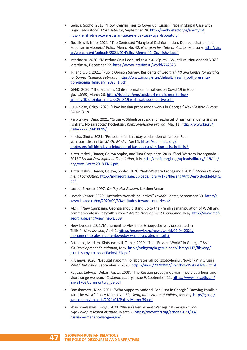- Gelava, Sopho. 2018. "How Kremlin Tries to Cover up Russian Trace in Skripal Case with Lugar Laboratory." *MythDetector*, September 28. http://mythdetector.ge/en/myth/ how-kremlin-tries-cover-russian-trace-skripal-case-lugar-laboratory
- Gozalishvili, Nino. 2021. "The Contested Triangle of Disinformation, Democratization and Populism in Georgia." Policy Memo No. 42, *Georgian Institute of Politics*, February. http://gip. ge/wp-content/uploads/2021/02/Policy-Memo-42\_Gozalishvili.pdf
- Interfax.ru. 2020. "Minzdrav Gruzii dopustil zakupku «Sputnik V», esli vakcinu odobrit VOZ." *Interfax.ru*, December 22. https://www.interfax.ru/world/742525
- IRI and CISR. 2021. "Public Opinion Survey: Residents of Georgia." *IRI and Centre for Insights*  for Survey Research February. https://www.iri.org/sites/default/files/iri\_poll\_presentation-georgia\_february\_2021\_1.pdf
- ISFED. 2020. "The Kremlin's 10 disinformation narratives on Covid-19 in Georgia." *ISFED*, March 26. https://isfed.ge/eng/sotsialuri-mediis-monitoringi/ kremlis-10-dezinformatsia-COVID-19-is-shesakheb-saqartveloshi
- Julukhidze, Grigol. 2020. "How Russian propaganda works in Georgia." *New Eastern Europe* 24(4):13-19
- Karpitskaya, Dina. 2021. "Gruziny: Shhedrye russkie, priezzhajte! U nas komendantskij chas i shtrafy. No zarabotat' hochetsja", *Komsomolskaya Pravda*, May 11. https://www.kp.ru/ daily/27275/4410699/
- Kincha, Shota. 2021. "Protesters foil birthday celebration of famous Russian journalist in Tbilisi." *OC-Media*, April 1. https://oc-media.org/ protesters-foil-birthday-celebration-of-famous-russian-journalist-in-tbilisi/
- Kintsurashvili, Tamar, Gelava Sopho, and Tina Gogoladze. 2019. "Anti-Western Propaganda 2018." *Media Development Foundation*, July. http://mdfgeorgia.ge/uploads/library/119/file/ eng/Anti\_West-2018-ENG.pdf
- Kintsurashvili, Tamar, Gelava, Sopho. 2020. "Anti-Western Propaganda 2019." *Media Development Foundation*. http://mdfgeorgia.ge/uploads/library/173/file/eng/AntiWest- Booklet-ENG. pdf
- Laclau, Ernesto. 1997. *On Populist Reason*. London: Verso
- Levada Center*.* 2020. "Attitudes towards countries." *Levada Center*, September 30. https:// www.levada.ru/en/2020/09/30/attitudes-toward-countries-4/
- MDF. "New Campaign: Georgia should stand up to the Kremlin's manipulation of WWII and commemorate #VEdaywithEurope." *Media Development Foundation*, May. http://www.mdfgeorgia.ge/eng/view\_news/509
- New Izvestia. 2021."Monument to Alexander Griboyedov was desecrated in Tbilisi." *New Izvestia*, April 2. https://en.newizv.ru/news/world/02-04-2021/ monument-to-alexander-griboyedov-was-desecrated-in-tbilisi
- Pataridze, Mariam, Kintsurashvili, Tamar. 2019. "The "Russian World" in Georgia." *Media Development Foundation*, May. http://mdfgeorgia.ge/uploads/library/117/file/eng/ rusuli\_samyaro\_saqarTveloSi\_EN.pdf
- RIA news. 2020. "Deputat napomnil o laboratorijah po izgotovleniju "Novichka" v Gruzii i SShA." *RIA news*, September 9, 2020. https://ria.ru/20200902/novichok-1576642485.html
- Rogoża, Jadwiga, Dubas, Agata. 2008. "The Russian propaganda war: media as a long- and short-range weapon." *CesCommentary*, Issue 9, September 11. https://www.files.ethz.ch/ isn/91705/commentary\_09.pdf
- Samkharadze, Nino. 2021. "Who Supports National Populism in Georgia? Drawing Parallels with the West." Policy Memo No. 39, *Georgian Institute of Politics*, January. http://gip.ge/ wp-content/uploads/2021/01/Policy-Memo-39.pdf
- Shaishmelashvili, Giorgi. 2021. "Russia's Permanent War against Georgia." *Foreign Policy Research Institute*, March 2. https://www.fpri.org/article/2021/03/ russia-permanent-war-georgia/